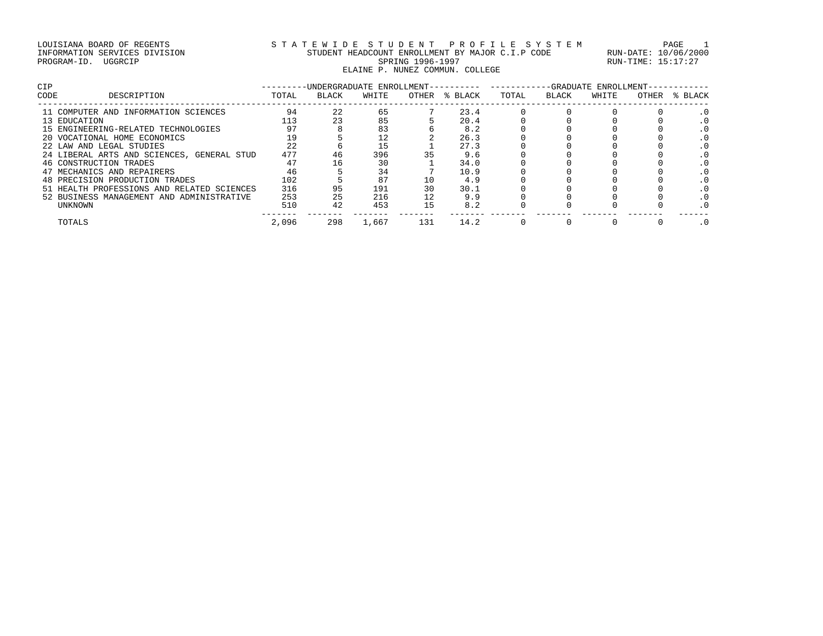# LOUISIANA BOARD OF REGENTS STATEWIDE STUDENT PROFILE SYSTEM PAGE 1 INFORMATION SERVICES DIVISION STUDENT HEADCOUNT ENROLLMENT BY MAJOR C.I.P CODE RUN-DATE: 10/06/2000 PROGRAM-ID. UGGRCIP SPRING 1996-1997 SPRING 1996-1997 RUN-TIME: 15:17:27 ELAINE P. NUNEZ COMMUN. COLLEGE

| <b>CIP</b>   |                                            |       | -UNDERGRADUATE ENROLLMENT-- |       |       |         |       |       | -GRADUATE ENROLLMENT- |       |         |
|--------------|--------------------------------------------|-------|-----------------------------|-------|-------|---------|-------|-------|-----------------------|-------|---------|
| CODE         | DESCRIPTION                                | TOTAL | BLACK                       | WHITE | OTHER | % BLACK | TOTAL | BLACK | WHITE                 | OTHER | % BLACK |
|              | 11 COMPUTER AND INFORMATION SCIENCES       | 94    | 22                          | 65    |       | 23.4    |       |       |                       |       |         |
| 13 EDUCATION |                                            | 113   | 23                          | 85    |       | 20.4    |       |       |                       |       |         |
|              | 15 ENGINEERING-RELATED TECHNOLOGIES        | 97    |                             | 83    |       | 8.2     |       |       |                       |       |         |
|              | 20 VOCATIONAL HOME ECONOMICS               | 19    |                             | 12    |       | 26.3    |       |       |                       |       |         |
|              | 22 LAW AND LEGAL STUDIES                   | 2.2   |                             |       |       | 27.3    |       |       |                       |       |         |
|              | 24 LIBERAL ARTS AND SCIENCES, GENERAL STUD | 477   | 46                          | 396   | 35    | 9.6     |       |       |                       |       |         |
|              | 46 CONSTRUCTION TRADES                     | 47    | 16                          | 30    |       | 34.0    |       |       |                       |       |         |
|              | 47 MECHANICS AND REPAIRERS                 | 46    |                             | 34    |       | 10.9    |       |       |                       |       |         |
|              | 48 PRECISION PRODUCTION TRADES             | 102   |                             | 87    | 10    | 4.9     |       |       |                       |       |         |
|              | 51 HEALTH PROFESSIONS AND RELATED SCIENCES | 316   | 95                          | 191   | 30    | 30.1    |       |       |                       |       |         |
|              | 52 BUSINESS MANAGEMENT AND ADMINISTRATIVE  | 253   | 25                          | 216   | 12    | 9.9     |       |       |                       |       |         |
|              | UNKNOWN                                    | 510   | 42                          | 453   | 15    | 8.2     |       |       |                       |       |         |
|              | TOTALS                                     | 2,096 | 298                         | 1,667 | 131   | 14.2    |       |       |                       |       |         |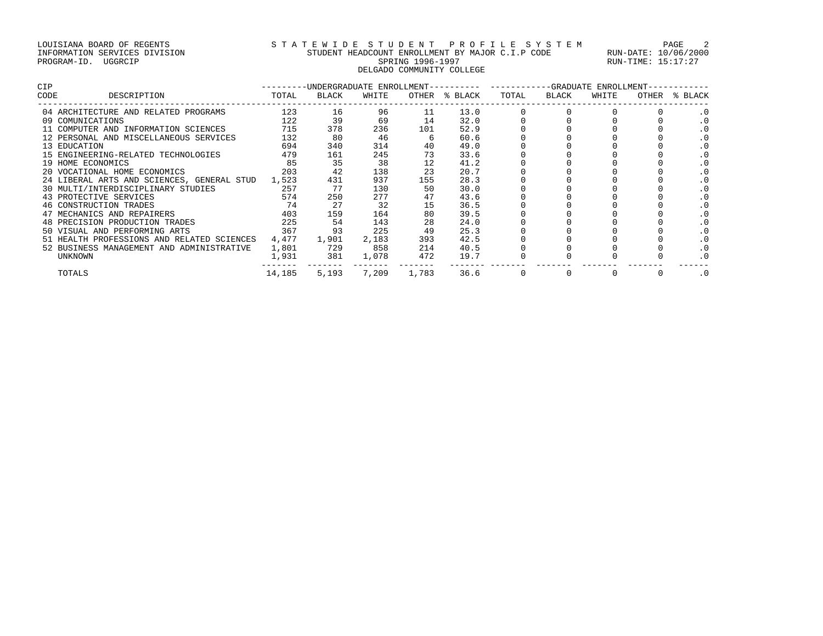# LOUISIANA BOARD OF REGENTS STATEWIDE STUDENT PROFILE SYSTEM PAGE 2 INFORMATION SERVICES DIVISION STUDENT HEADCOUNT ENROLLMENT BY MAJOR C.I.P CODE RUN-DATE: 10/06/2000 PROGRAM-ID. UGGRCIP SPRING 1996-1997 SPRING 1996-1997 RUN-TIME: 15:17:27 DELGADO COMMUNITY COLLEGE

| <b>CIP</b> |                                                  |        | ---------UNDERGRADUATE ENROLLMENT-- |       |       | --GRADUATE ENROLLMENT-<br>--------- --------- |       |       |       |       |           |
|------------|--------------------------------------------------|--------|-------------------------------------|-------|-------|-----------------------------------------------|-------|-------|-------|-------|-----------|
| CODE       | DESCRIPTION                                      | TOTAL  | BLACK                               | WHITE | OTHER | % BLACK                                       | TOTAL | BLACK | WHITE | OTHER | % BLACK   |
|            | 04 ARCHITECTURE AND RELATED PROGRAMS             | 123    | 16                                  | 96    | 11    | 13.0                                          |       |       |       |       |           |
|            | 09 COMUNICATIONS                                 | 122    | 39                                  | 69    | 14    | 32.0                                          |       |       |       |       |           |
|            | 11 COMPUTER AND INFORMATION SCIENCES             | 715    | 378                                 | 236   | 101   | 52.9                                          |       |       |       |       |           |
|            | 12 PERSONAL AND MISCELLANEOUS SERVICES           | 132    | 80                                  | 46    |       | 60.6                                          |       |       |       |       | .0        |
|            | 13 EDUCATION                                     | 694    | 340                                 | 314   | 40    | 49.0                                          |       |       |       |       |           |
|            | 15 ENGINEERING-RELATED TECHNOLOGIES              | 479    | 161                                 | 245   | 73    | 33.6                                          |       |       |       |       |           |
|            | 19 HOME ECONOMICS                                | 85     | 35                                  | 38    | 12    | 41.2                                          |       |       |       |       |           |
|            | 20 VOCATIONAL HOME ECONOMICS                     | 203    | 42                                  | 138   | 23    | 20.7                                          |       |       |       |       |           |
|            | 24 LIBERAL ARTS AND SCIENCES, GENERAL STUD 1,523 |        | 431                                 | 937   | 155   | 28.3                                          |       |       |       |       | $\cdot$ 0 |
|            | 257<br>30 MULTI/INTERDISCIPLINARY STUDIES        |        | 77                                  | 130   | 50    | 30.0                                          |       |       |       |       |           |
|            | 43 PROTECTIVE SERVICES                           | 574    | 250                                 | 277   | 47    | 43.6                                          |       |       |       |       |           |
|            | 46 CONSTRUCTION TRADES                           | 74     | 27                                  | 32    | 15    | 36.5                                          |       |       |       |       |           |
|            | 47 MECHANICS AND REPAIRERS                       | 403    | 159                                 | 164   | 80    | 39.5                                          |       |       |       |       |           |
|            | 48 PRECISION PRODUCTION TRADES                   | 225    | 54                                  | 143   | 28    | 24.0                                          |       |       |       |       |           |
|            | 50 VISUAL AND PERFORMING ARTS                    | 367    | 93                                  | 225   | 49    | 25.3                                          |       |       |       |       |           |
|            | 51 HEALTH PROFESSIONS AND RELATED SCIENCES       | 4,477  | 1,901                               | 2,183 | 393   | 42.5                                          |       |       |       |       |           |
|            | 52 BUSINESS MANAGEMENT AND ADMINISTRATIVE        | 1,801  | 729                                 | 858   | 214   | 40.5                                          |       |       |       |       | $\cdot$ 0 |
|            | UNKNOWN                                          | 1,931  | 381                                 | 1,078 | 472   | 19.7                                          |       |       |       |       |           |
|            | TOTALS                                           | 14,185 | 5,193                               | 7,209 | 1,783 | 36.6                                          |       |       |       |       | $\cdot$ 0 |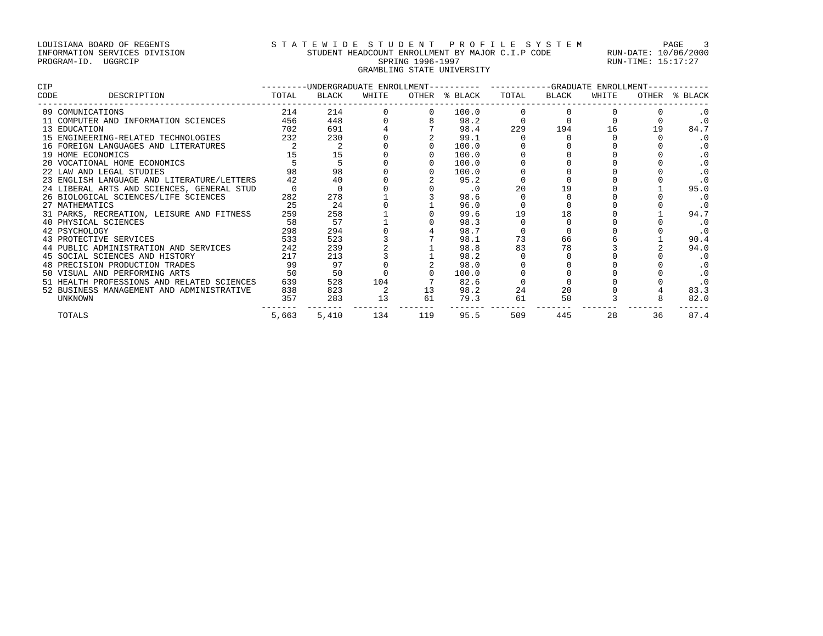# LOUISIANA BOARD OF REGENTS STATEWIDE STUDENT PROFILE SYSTEM PAGE 3 INFORMATION SERVICES DIVISION STUDENT HEADCOUNT ENROLLMENT BY MAJOR C.I.P CODE RUN-DATE: 10/06/2000 PROGRAM-ID. UGGRCIP SPRING 1996-1997 SPRING 1996-1997 RUN-TIME: 15:17:27 GRAMBLING STATE UNIVERSITY

| CIP  |                                            | -UNDERGRADUATE ENROLLMENT---------- |       |       |       |           | -----------GRADUATE ENROLLMENT-- |       |       |       |         |
|------|--------------------------------------------|-------------------------------------|-------|-------|-------|-----------|----------------------------------|-------|-------|-------|---------|
| CODE | DESCRIPTION                                | TOTAL                               | BLACK | WHITE | OTHER | % BLACK   | TOTAL                            | BLACK | WHITE | OTHER | % BLACK |
|      | 09 COMUNICATIONS                           | 214                                 | 214   |       |       | 100.0     |                                  |       |       |       |         |
|      | 11 COMPUTER AND INFORMATION SCIENCES       | 456                                 | 448   |       |       | 98.2      |                                  |       |       |       |         |
|      | 13 EDUCATION                               | 702                                 | 691   |       |       | 98.4      | 229                              | 194   | 16    | 19    | 84.7    |
|      | 15 ENGINEERING-RELATED TECHNOLOGIES        | 232                                 | 230   |       |       | 99.1      |                                  |       |       |       |         |
|      | 16 FOREIGN LANGUAGES AND LITERATURES       |                                     |       |       |       | 100.0     |                                  |       |       |       |         |
|      | 19 HOME ECONOMICS                          |                                     | 15    |       |       | 100.0     |                                  |       |       |       |         |
|      | 20 VOCATIONAL HOME ECONOMICS               |                                     |       |       |       | 100.0     |                                  |       |       |       |         |
|      | 22 LAW AND LEGAL STUDIES                   |                                     | 98    |       |       | 100.0     |                                  |       |       |       |         |
|      | 23 ENGLISH LANGUAGE AND LITERATURE/LETTERS | 42                                  | 40    |       |       | 95.2      |                                  |       |       |       |         |
|      | 24 LIBERAL ARTS AND SCIENCES, GENERAL STUD |                                     |       |       |       | $\cdot$ 0 | 20                               | 19    |       |       | 95.0    |
|      | 26 BIOLOGICAL SCIENCES/LIFE SCIENCES       | 282                                 | 278   |       |       | 98.6      |                                  |       |       |       |         |
|      | 27 MATHEMATICS                             | 25                                  | 24    |       |       | 96.0      |                                  |       |       |       |         |
|      | 31 PARKS, RECREATION, LEISURE AND FITNESS  | 259                                 | 258   |       |       | 99.6      | 19                               | 18    |       |       | 94.7    |
|      | 40 PHYSICAL SCIENCES                       | 58                                  | 57    |       |       | 98.3      |                                  |       |       |       |         |
|      | 42 PSYCHOLOGY                              | 298                                 | 294   |       |       | 98.7      |                                  |       |       |       | . 0     |
|      | 43 PROTECTIVE SERVICES                     | 533                                 | 523   |       |       | 98.1      | 73                               | 66    |       |       | 90.4    |
|      | 44 PUBLIC ADMINISTRATION AND SERVICES      | 242                                 | 239   |       |       | 98.8      | 83                               | 78    |       |       | 94.0    |
|      | 45 SOCIAL SCIENCES AND HISTORY             | 217                                 | 213   |       |       | 98.2      |                                  |       |       |       |         |
|      | 48 PRECISION PRODUCTION TRADES             | 99                                  | 97    |       |       | 98.0      |                                  |       |       |       |         |
|      | 50 VISUAL AND PERFORMING ARTS              | 50                                  | 50    |       |       | 100.0     |                                  |       |       |       |         |
|      | 51 HEALTH PROFESSIONS AND RELATED SCIENCES | 639                                 | 528   | 104   |       | 82.6      |                                  |       |       |       |         |
|      | 52 BUSINESS MANAGEMENT AND ADMINISTRATIVE  | 838                                 | 823   |       | 13    | 98.2      | 24                               | 20    |       |       | 83.3    |
|      | UNKNOWN                                    | 357                                 | 283   | 13    | 61    | 79.3      | 61                               | 50    |       |       | 82.0    |
|      | TOTALS                                     | 5,663                               | 5,410 | 134   | 119   | 95.5      | 509                              | 445   | 28    | 36    | 87.4    |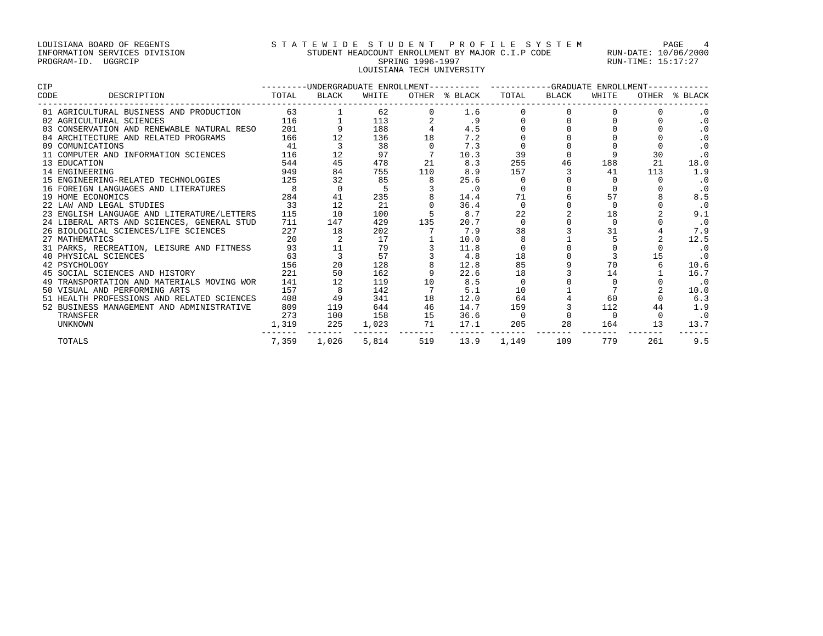# LOUISIANA BOARD OF REGENTS STATEWIDE STUDENT PROFILE SYSTEM PAGE 4 INFORMATION SERVICES DIVISION STUDENT HEADCOUNT ENROLLMENT BY MAJOR C.I.P CODE RUN-DATE: 10/06/2000 PROGRAM-ID. UGGRCIP SPRING 1996-1997 SPRING 1996-1997 RUN-TIME: 15:17:27 LOUISIANA TECH UNIVERSITY

| CIP  |                                            |       |          |       |     |               | ---------UNDERGRADUATE ENROLLMENT---------- ----------GRADUATE ENROLLMENT- |              |          |       |           |
|------|--------------------------------------------|-------|----------|-------|-----|---------------|----------------------------------------------------------------------------|--------------|----------|-------|-----------|
| CODE | DESCRIPTION                                | TOTAL | BLACK    | WHITE |     | OTHER % BLACK | TOTAL                                                                      | <b>BLACK</b> | WHITE    | OTHER | % BLACK   |
|      | 01 AGRICULTURAL BUSINESS AND PRODUCTION    | 63    |          | 62    |     | 1.6           |                                                                            |              |          |       |           |
|      | 02 AGRICULTURAL SCIENCES                   | 116   |          | 113   |     | . 9           |                                                                            |              |          |       | $\cdot$ 0 |
|      | 03 CONSERVATION AND RENEWABLE NATURAL RESO | 201   |          | 188   |     | 4.5           |                                                                            |              |          |       | $\cdot$ 0 |
|      | 04 ARCHITECTURE AND RELATED PROGRAMS       | 166   |          | 136   | 18  | 7.2           |                                                                            |              |          |       | $\cdot$ 0 |
|      | 09 COMUNICATIONS                           | 41    |          | 38    |     | 7.3           |                                                                            |              |          |       | $\cdot$ 0 |
|      | 11 COMPUTER AND INFORMATION SCIENCES       | 116   | 12       | 97    |     | 10.3          | 39                                                                         |              |          | 30    | $\cdot$ 0 |
|      | 13 EDUCATION                               | 544   | 45       | 478   | 21  | 8.3           | 255                                                                        | 46           | 188      | 21    | 18.0      |
|      | 14 ENGINEERING                             | 949   | 84       | 755   | 110 | 8.9           | 157                                                                        |              | 41       | 113   | 1.9       |
|      | 15 ENGINEERING-RELATED TECHNOLOGIES        | 125   | 32       | 85    |     | 25.6          |                                                                            |              |          |       | $\cdot$ 0 |
|      | 16 FOREIGN LANGUAGES AND LITERATURES       |       | $\Omega$ |       |     | $\cdot$ 0     |                                                                            |              |          |       | $\cdot$ 0 |
|      | 19 HOME ECONOMICS                          | 284   | 41       | 235   |     | 14.4          | 71                                                                         |              | 57       |       | 8.5       |
|      | 22 LAW AND LEGAL STUDIES                   | 33    | 12       | 21    |     | 36.4          |                                                                            |              | $\Omega$ |       | $\cdot$ 0 |
|      | 23 ENGLISH LANGUAGE AND LITERATURE/LETTERS | 115   | 10       | 100   |     | 8.7           | 22                                                                         |              | 18       |       | 9.1       |
|      | 24 LIBERAL ARTS AND SCIENCES, GENERAL STUD | 711   | 147      | 429   | 135 | 20.7          |                                                                            |              |          |       | $\cdot$ 0 |
|      | 26 BIOLOGICAL SCIENCES/LIFE SCIENCES       | 227   | 18       | 202   |     | 7.9           | 38                                                                         |              | 31       |       | 7.9       |
|      | 27 MATHEMATICS                             | 20    |          | 17    |     | 10.0          |                                                                            |              |          |       | 12.5      |
|      | 31 PARKS, RECREATION, LEISURE AND FITNESS  | 93    | 11       | 79    |     | 11.8          |                                                                            |              |          |       | $\cdot$ 0 |
|      | 40 PHYSICAL SCIENCES                       | 63    |          | 57    |     | 4.8           | 18                                                                         |              |          | 15    | $\cdot$ 0 |
|      | 42 PSYCHOLOGY                              | 156   | 20       | 128   |     | 12.8          | 85                                                                         |              | 70       |       | 10.6      |
|      | 45 SOCIAL SCIENCES AND HISTORY             | 221   | 50       | 162   |     | 22.6          | 18                                                                         |              | 14       |       | 16.7      |
|      | 49 TRANSPORTATION AND MATERIALS MOVING WOR | 141   |          | 119   | 10  | 8.5           |                                                                            |              |          |       | $\cdot$ 0 |
|      | 50 VISUAL AND PERFORMING ARTS              | 157   |          | 142   |     | 5.1           | 10                                                                         |              |          |       | 10.0      |
|      | 51 HEALTH PROFESSIONS AND RELATED SCIENCES | 408   | 49       | 341   | 18  | 12.0          | 64                                                                         |              | 60       |       | 6.3       |
|      | 52 BUSINESS MANAGEMENT AND ADMINISTRATIVE  | 809   | 119      | 644   | 46  | 14.7          | 159                                                                        |              | 112      | 44    | 1.9       |
|      | TRANSFER                                   | 273   | 100      | 158   | 15  | 36.6          |                                                                            |              |          |       |           |
|      | UNKNOWN                                    | 1,319 | 225      | 1,023 | 71  | 17.1          | 205                                                                        | 28           | 164      | 13    | 13.7      |
|      | TOTALS                                     | 7,359 | 1,026    | 5,814 | 519 | 13.9          | 1,149                                                                      | 109          | 779      | 261   | 9.5       |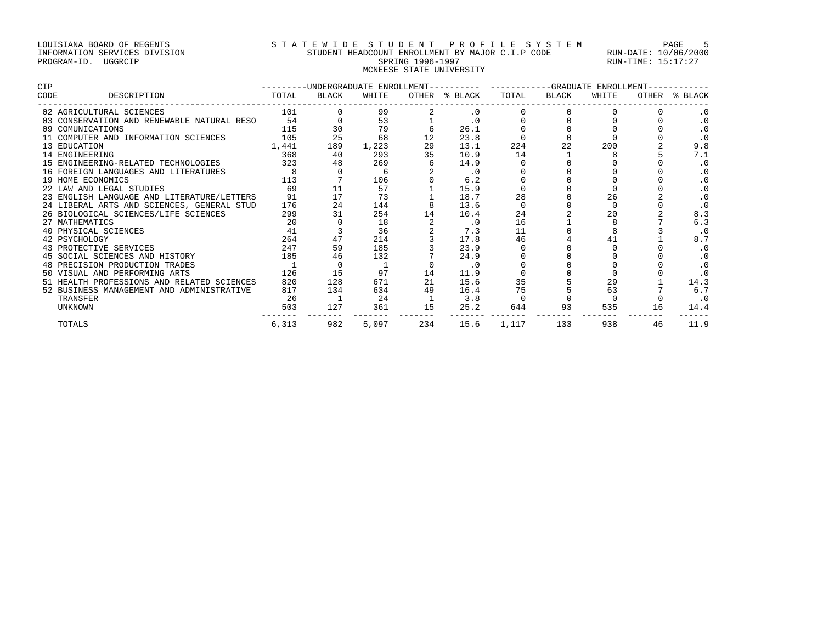# LOUISIANA BOARD OF REGENTS STRTEWIDE STUDENT PROFILE SYSTEM PAGE 5 INFORMATION SERVICES DIVISION STUDENT HEADCOUNT ENROLLMENT BY MAJOR C.I.P CODE RUN-DATE: 10/06/2000 PROGRAM-ID. UGGRCIP SPRING 1996-1997 SPRING 1996-1997 RUN-TIME: 15:17:27 MCNEESE STATE UNIVERSITY

| <b>CIP</b> |                                            |                |       |       |     | ---------UNDERGRADUATE ENROLLMENT---------- | -----------GRADUATE ENROLLMENT- |              |       |       |           |
|------------|--------------------------------------------|----------------|-------|-------|-----|---------------------------------------------|---------------------------------|--------------|-------|-------|-----------|
| CODE       | DESCRIPTION                                | TOTAL          | BLACK | WHITE |     | OTHER % BLACK                               | TOTAL                           | <b>BLACK</b> | WHITE | OTHER | % BLACK   |
|            | 02 AGRICULTURAL SCIENCES                   | 101            |       | 99    |     | $\cdot$ 0                                   |                                 |              |       |       |           |
|            | 03 CONSERVATION AND RENEWABLE NATURAL RESO | 54             |       | 53    |     | $\cdot$ 0                                   |                                 |              |       |       | $\cdot$ 0 |
|            | 09 COMUNICATIONS                           | 115            | 30    | 79    |     | 26.1                                        |                                 |              |       |       | $\cdot$ 0 |
|            | 11 COMPUTER AND INFORMATION SCIENCES       | 105            | 25    | 68    |     | 23.8                                        |                                 |              |       |       | $\cdot$ 0 |
|            | 13 EDUCATION                               | 1,441          | 189   | 1,223 | 29  | 13.1                                        | 224                             |              | 200   |       | 9.8       |
|            | 14 ENGINEERING                             | 368            | 40    | 293   | 35  | 10.9                                        | 14                              |              |       |       | 7.1       |
|            | 15 ENGINEERING-RELATED TECHNOLOGIES        | 323            | 48    | 269   |     | 14.9                                        |                                 |              |       |       |           |
|            | 16 FOREIGN LANGUAGES AND LITERATURES       | $\overline{8}$ |       | -6    |     | $\cdot$ 0                                   |                                 |              |       |       |           |
|            | 19 HOME ECONOMICS                          | 113            |       | 106   |     | 6.2                                         |                                 |              |       |       |           |
|            | 22 LAW AND LEGAL STUDIES                   | 69             | 11    | 57    |     | 15.9                                        |                                 |              |       |       |           |
|            | 23 ENGLISH LANGUAGE AND LITERATURE/LETTERS | 91             | 17    | 73    |     | 18.7                                        | 28                              |              | 26    |       |           |
|            | 24 LIBERAL ARTS AND SCIENCES, GENERAL STUD | 176            | 24    | 144   |     | 13.6                                        |                                 |              |       |       |           |
|            | 26 BIOLOGICAL SCIENCES/LIFE SCIENCES       | 299            | 31    | 254   |     | 10.4                                        | 24                              |              | 20    |       | 8.3       |
|            | 27 MATHEMATICS                             | 20             |       | 18    |     | .0                                          | 16                              |              |       |       | 6.3       |
|            | 40 PHYSICAL SCIENCES                       | 41             |       | 36    |     | 7.3                                         | 11                              |              |       |       | $\cdot$ 0 |
|            | 42 PSYCHOLOGY                              | 264            | 47    | 214   |     | 17.8                                        | 46                              |              | 41    |       | 8.7       |
|            | 43 PROTECTIVE SERVICES                     | 247            | 59    | 185   |     | 23.9                                        |                                 |              |       |       | . 0       |
|            | 45 SOCIAL SCIENCES AND HISTORY             | 185            | 46    | 132   |     | 24.9                                        |                                 |              |       |       | $\cdot$ 0 |
|            | 48 PRECISION PRODUCTION TRADES             |                |       |       |     | $\cdot$ 0                                   |                                 |              |       |       | $\cdot$ 0 |
|            | 50 VISUAL AND PERFORMING ARTS              | 126            | 15    | 97    | 14  | 11.9                                        |                                 |              |       |       |           |
|            | 51 HEALTH PROFESSIONS AND RELATED SCIENCES | 820            | 128   | 671   | 21  | 15.6                                        | 35                              |              | 29    |       | 14.3      |
|            | 52 BUSINESS MANAGEMENT AND ADMINISTRATIVE  | 817            | 134   | 634   | 49  | 16.4                                        | 75                              |              | 63    |       | 6.7       |
|            | TRANSFER                                   | - 26           |       | 24    |     | 3.8                                         |                                 |              |       |       | $\cdot$ 0 |
|            | <b>UNKNOWN</b>                             | 503            | 127   | 361   | 15  | 25.2                                        | 644                             | 93           | 535   | 16    | 14.4      |
|            | TOTALS                                     | 6,313          | 982   | 5,097 | 234 | 15.6                                        | 1,117                           | 133          | 938   | 46    | 11.9      |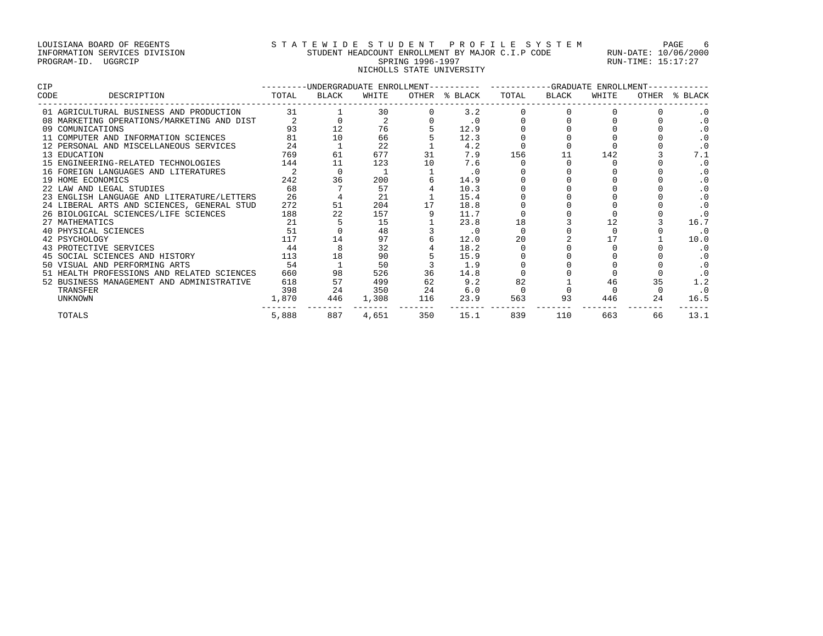# LOUISIANA BOARD OF REGENTS STATEWIDE STUDENT PROFILE SYSTEM PAGE 6 INFORMATION SERVICES DIVISION STUDENT HEADCOUNT ENROLLMENT BY MAJOR C.I.P CODE RUN-DATE: 10/06/2000 PROGRAM-ID. UGGRCIP SPRING 1996-1997 SPRING 1996-1997 RUN-TIME: 15:17:27 NICHOLLS STATE UNIVERSITY

| CIP  |                                            | ---------UNDERGRADUATE ENROLLMENT---------- |       |       |     |               |       | ------------GRADUATE ENROLLMENT- |       |     |               |  |
|------|--------------------------------------------|---------------------------------------------|-------|-------|-----|---------------|-------|----------------------------------|-------|-----|---------------|--|
| CODE | DESCRIPTION                                | TOTAL                                       | BLACK | WHITE |     | OTHER % BLACK | TOTAL | BLACK                            | WHITE |     | OTHER % BLACK |  |
|      | 01 AGRICULTURAL BUSINESS AND PRODUCTION    | 31                                          |       | 30    |     | 3.2           |       |                                  |       |     |               |  |
|      | 08 MARKETING OPERATIONS/MARKETING AND DIST |                                             |       |       |     | $\cdot$ 0     |       |                                  |       |     | $\cdot$ 0     |  |
|      | 09 COMUNICATIONS                           | 93                                          | 12    | 76    |     | 12.9          |       |                                  |       |     | . 0           |  |
|      | 11 COMPUTER AND INFORMATION SCIENCES       | 81                                          | 10    | 66    |     | 12.3          |       |                                  |       |     | $\cdot$ 0     |  |
|      | 12 PERSONAL AND MISCELLANEOUS SERVICES     | 24                                          |       | 22    |     | 4.2           |       |                                  |       |     |               |  |
|      | 13 EDUCATION                               | 769                                         | 61    | 677   | 31  | 7.9           | 156   | 11                               | 142   |     | 7.1           |  |
|      | 15 ENGINEERING-RELATED TECHNOLOGIES        | 144                                         | 11    | 123   | 10  | 7.6           |       |                                  |       |     | $\cdot$ 0     |  |
|      | 16 FOREIGN LANGUAGES AND LITERATURES       |                                             |       |       |     | $\cdot$ 0     |       |                                  |       |     |               |  |
|      | 19 HOME ECONOMICS                          | 242                                         | 36    | 200   |     | 14.9          |       |                                  |       |     | . 0           |  |
|      | 22 LAW AND LEGAL STUDIES                   | 68                                          |       | 57    |     | 10.3          |       |                                  |       |     | $\cdot$ 0     |  |
|      | 23 ENGLISH LANGUAGE AND LITERATURE/LETTERS | 26                                          |       | 21    |     | 15.4          |       |                                  |       |     |               |  |
|      | 24 LIBERAL ARTS AND SCIENCES, GENERAL STUD | 272                                         | 51    | 204   |     | 18.8          |       |                                  |       |     | . 0           |  |
|      | 26 BIOLOGICAL SCIENCES/LIFE SCIENCES       | 188                                         | 22    | 157   |     | 11.7          |       |                                  |       |     |               |  |
|      | 27 MATHEMATICS                             | 21                                          |       | 15    |     | 23.8          | 18    |                                  |       |     | 16.7          |  |
|      | 40 PHYSICAL SCIENCES                       | 51                                          |       | 48    |     | . 0           |       |                                  |       |     | $\cdot$ 0     |  |
|      | 42 PSYCHOLOGY                              | 117                                         | 14    | 97    |     | 12.0          | 20    |                                  | 17    |     | 10.0          |  |
|      | 43 PROTECTIVE SERVICES                     | 44                                          |       | 32    |     | 18.2          |       |                                  |       |     |               |  |
|      | 45 SOCIAL SCIENCES AND HISTORY             | 113                                         | 18    | 90    |     | 15.9          |       |                                  |       |     | . 0           |  |
|      | 50 VISUAL AND PERFORMING ARTS              | 54                                          |       | 50    |     | 1.9           |       |                                  |       |     |               |  |
|      | 51 HEALTH PROFESSIONS AND RELATED SCIENCES | 660                                         | 98    | 526   | 36  | 14.8          |       |                                  |       |     |               |  |
|      | 52 BUSINESS MANAGEMENT AND ADMINISTRATIVE  | 618                                         | 57    | 499   | 62  | 9.2           | 82    |                                  | 46    | 35  | 1.2           |  |
|      | TRANSFER                                   | 398                                         | 24    | 350   | 24  | 6.0           |       |                                  |       |     | $\cdot$ 0     |  |
|      | UNKNOWN                                    | 1,870                                       | 446   | 1,308 | 116 | 23.9          | 563   | 93                               | 446   | 2.4 | 16.5          |  |
|      | TOTALS                                     | 5,888                                       | 887   | 4,651 | 350 | 15.1          | 839   | 110                              | 663   | 66  | 13.1          |  |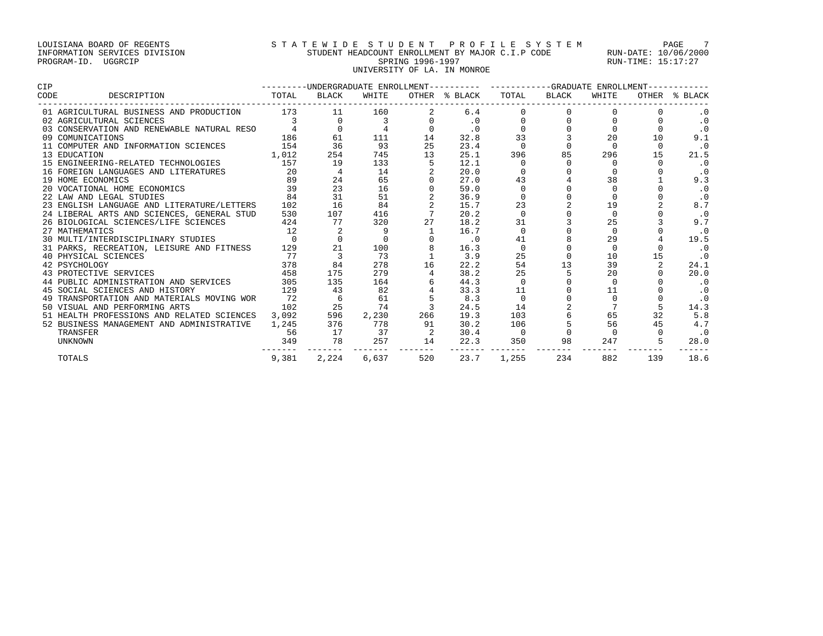# LOUISIANA BOARD OF REGENTS STATEWIDE STUDENT PROFILE SYSTEM PAGE 7 INFORMATION SERVICES DIVISION STUDENT HEADCOUNT ENROLLMENT BY MAJOR C.I.P CODE RUN-DATE: 10/06/2000 PROGRAM-ID. UGGRCIP SPRING 1996-1997 SPRING 1996-1997 RUN-TIME: 15:17:27 UNIVERSITY OF LA. IN MONROE

| CIP                                        | ---------UNDERGRADUATE ENROLLMENT---------- ----------GRADUATE ENROLLMENT-- |       |       |     |               |          |       |          |          |               |
|--------------------------------------------|-----------------------------------------------------------------------------|-------|-------|-----|---------------|----------|-------|----------|----------|---------------|
| CODE<br>DESCRIPTION                        | TOTAL                                                                       | BLACK | WHITE |     | OTHER % BLACK | TOTAL    | BLACK | WHITE    |          | OTHER % BLACK |
| 01 AGRICULTURAL BUSINESS AND PRODUCTION    | 173                                                                         | 11    | 160   |     | 6.4           |          |       |          |          |               |
| 02 AGRICULTURAL SCIENCES                   |                                                                             |       |       |     |               |          |       |          |          | $\cdot$ 0     |
| 03 CONSERVATION AND RENEWABLE NATURAL RESO |                                                                             |       |       |     | $\cdot$ 0     |          |       |          |          | $\cdot$ 0     |
| 09 COMUNICATIONS                           | 186                                                                         | 61    | 111   | 14  | 32.8          | 33       |       | 20       | 10       | 9.1           |
| 11 COMPUTER AND INFORMATION SCIENCES       | 154                                                                         | 36    | 93    | 25  | 23.4          | $\cap$   |       | $\cap$   | $\Omega$ | $\cdot$ 0     |
| 13 EDUCATION                               | 1,012                                                                       | 254   | 745   | 13  | 25.1          | 396      | 85    | 296      | 15       | 21.5          |
| 15 ENGINEERING-RELATED TECHNOLOGIES        | 157                                                                         | 19    | 133   |     | 12.1          |          |       |          |          | $\cdot$ 0     |
| 16 FOREIGN LANGUAGES AND LITERATURES       | 20                                                                          |       | 14    |     | 20.0          |          |       |          |          | $\cdot$ 0     |
| 19 HOME ECONOMICS                          | 89                                                                          | 24    | 65    |     | 27.0          | 43       |       | 38       |          | 9.3           |
| 20 VOCATIONAL HOME ECONOMICS               | 39                                                                          | 23    | 16    |     | 59.0          |          |       |          |          | $\cdot$ 0     |
| 22 LAW AND LEGAL STUDIES                   | 84                                                                          | 31    | 51    |     | 36.9          |          |       |          |          | $\cdot$ 0     |
| 23 ENGLISH LANGUAGE AND LITERATURE/LETTERS | 102                                                                         | 16    | 84    |     | 15.7          | 23       |       | 19       |          | 8.7           |
| 24 LIBERAL ARTS AND SCIENCES, GENERAL STUD | 530                                                                         | 107   | 416   |     | 20.2          | $\Omega$ |       | $\Omega$ |          | $\cdot$ 0     |
| 26 BIOLOGICAL SCIENCES/LIFE SCIENCES       | 424                                                                         | 77    | 320   | 27  | 18.2          | 31       |       | 25       |          | 9.7           |
| 27 MATHEMATICS                             | 12                                                                          |       | 9     |     | 16.7          | $\Omega$ |       |          |          | $\cdot$ 0     |
| 30 MULTI/INTERDISCIPLINARY STUDIES         | $\overline{0}$                                                              |       |       |     | $\cdot$ 0     | 41       |       | 29       |          | 19.5          |
| 31 PARKS, RECREATION, LEISURE AND FITNESS  | 129                                                                         | 21    | 100   |     | 16.3          | $\Omega$ |       | $\Omega$ |          | $\cdot$ 0     |
| 40 PHYSICAL SCIENCES                       | 77                                                                          |       | 73    |     | 3.9           | 25       |       | 10       | 15       | $\cdot$ 0     |
| 42 PSYCHOLOGY                              | 378                                                                         | 84    | 278   | 16  | 22.2          | 54       | 13    | 39       |          | 24.1          |
| 43 PROTECTIVE SERVICES                     | 458                                                                         | 175   | 279   |     | 38.2          | 25       |       | 20       |          | 20.0          |
| 44 PUBLIC ADMINISTRATION AND SERVICES      | 305                                                                         | 135   | 164   |     | 44.3          | $\Omega$ |       | $\Omega$ |          | $\cdot$ 0     |
| 45 SOCIAL SCIENCES AND HISTORY             | 129                                                                         | 43    | 82    |     | 33.3          | 11       |       | 11       |          | $\cdot$ 0     |
| 49 TRANSPORTATION AND MATERIALS MOVING WOR | 72                                                                          |       | 61    |     | 8.3           | $\Omega$ |       |          |          | $\cdot$ 0     |
| 50 VISUAL AND PERFORMING ARTS              | 102                                                                         | 25    | 74    |     | 24.5          | 14       |       |          |          | 14.3          |
| 51 HEALTH PROFESSIONS AND RELATED SCIENCES | 3,092                                                                       | 596   | 2,230 | 266 | 19.3          | 103      |       | 65       | 32       | 5.8           |
| 52 BUSINESS MANAGEMENT AND ADMINISTRATIVE  | 1,245                                                                       | 376   | 778   | 91  | 30.2          | 106      |       | 56       | 45       | 4.7           |
| TRANSFER                                   | 56                                                                          | 17    | 37    |     | 30.4          | - 0      |       |          |          | $\cdot$ 0     |
| <b>UNKNOWN</b>                             | 349                                                                         | 78    | 257   | 14  | 22.3          | 350      | 98    | 247      |          | 28.0          |
| <b>TOTALS</b>                              | 9,381                                                                       | 2,224 | 6,637 | 520 | 23.7          | 1,255    | 234   | 882      | 139      | 18.6          |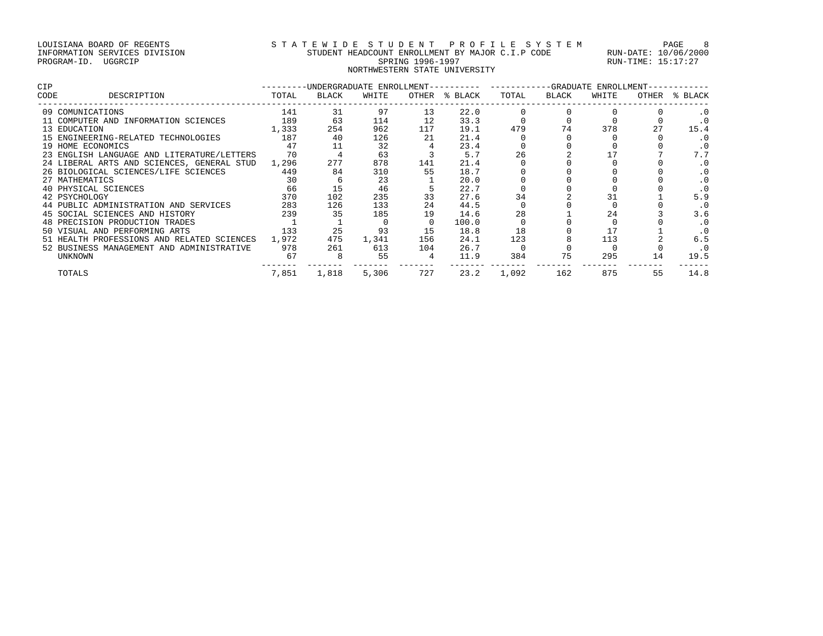### LOUISIANA BOARD OF REGENTS STATEWIDE STUDENT PROFILE SYSTEM PAGE 8 INFORMATION SERVICES DIVISION STUDENT HEADCOUNT ENROLLMENT BY MAJOR C.I.P CODE RUN-DATE: 10/06/2000 PROGRAM-ID. UGGRCIP SPRING 1996-1997 SPRING 1996-1997 RUN-TIME: 15:17:27 NORTHWESTERN STATE UNIVERSITY

| <b>CIP</b>                                 | ---------UNDERGRADUATE ENROLLMENT---------- ----------GRADUATE ENROLLMENT------- |       |       |     |               |       |       |       |       |           |
|--------------------------------------------|----------------------------------------------------------------------------------|-------|-------|-----|---------------|-------|-------|-------|-------|-----------|
| CODE<br>DESCRIPTION                        | TOTAL                                                                            | BLACK | WHITE |     | OTHER % BLACK | TOTAL | BLACK | WHITE | OTHER | % BLACK   |
| 09 COMUNICATIONS                           | 141                                                                              | 31    | 97    | 13  | 22.0          |       |       |       |       |           |
| 11 COMPUTER AND INFORMATION SCIENCES       | 189                                                                              | 63    | 114   | 12  | 33.3          |       |       |       |       | $\cdot$ 0 |
| 13 EDUCATION                               | 1,333                                                                            | 254   | 962   | 117 | 19.1          | 479   | 74    | 378   | 27    | 15.4      |
| 15 ENGINEERING-RELATED TECHNOLOGIES        | 187                                                                              | 40    | 126   | 21  | 21.4          |       |       |       |       | $\cdot$ 0 |
| 19 HOME ECONOMICS                          | 47                                                                               |       | 32    |     | 23.4          |       |       |       |       | $\cdot$ 0 |
| 23 ENGLISH LANGUAGE AND LITERATURE/LETTERS | 70                                                                               |       | 63    |     | 5.7           | 26    |       |       |       | 7.7       |
| 24 LIBERAL ARTS AND SCIENCES, GENERAL STUD | 1,296                                                                            | 277   | 878   | 141 | 21.4          |       |       |       |       | $\cdot$ 0 |
| 26 BIOLOGICAL SCIENCES/LIFE SCIENCES       | 449                                                                              | 84    | 310   | 55  | 18.7          |       |       |       |       | $\cdot$ 0 |
| 27 MATHEMATICS                             | 30                                                                               | 6     | 23    |     | 20.0          |       |       |       |       | $\cdot$ 0 |
| 40 PHYSICAL SCIENCES                       | 66                                                                               |       | 46    |     | 22.7          |       |       |       |       | $\cdot$ 0 |
| 42 PSYCHOLOGY                              | 370                                                                              | 102   | 235   | 33  | 27.6          | 34    |       |       |       | 5.9       |
| 44 PUBLIC ADMINISTRATION AND SERVICES      | 283                                                                              | 126   | 133   | 24  | 44.5          |       |       |       |       | $\cdot$ 0 |
| 45 SOCIAL SCIENCES AND HISTORY             | 239                                                                              | 35    | 185   | 19  | 14.6          | 28    |       | 24    |       | 3.6       |
| 48 PRECISION PRODUCTION TRADES             |                                                                                  |       |       |     | 100.0         |       |       |       |       | $\cdot$ 0 |
| 50 VISUAL AND PERFORMING ARTS              | 133                                                                              | 25    | 93    | 15  | 18.8          | 18    |       |       |       | $\cdot$ 0 |
| 51 HEALTH PROFESSIONS AND RELATED SCIENCES | 1,972                                                                            | 475   | 1,341 | 156 | 24.1          | 123   |       | 113   |       | 6.5       |
| 52 BUSINESS MANAGEMENT AND ADMINISTRATIVE  | 978                                                                              | 261   | 613   | 104 | 26.7          |       |       |       |       | $\cdot$ 0 |
| UNKNOWN                                    | 67                                                                               | 8     | 55    | 4   | 11.9          | 384   | 75    | 295   | 14    | 19.5      |
| TOTALS                                     | 7,851                                                                            | 1,818 | 5,306 | 727 | 23.2          | 1,092 | 162   | 875   | 55    | 14.8      |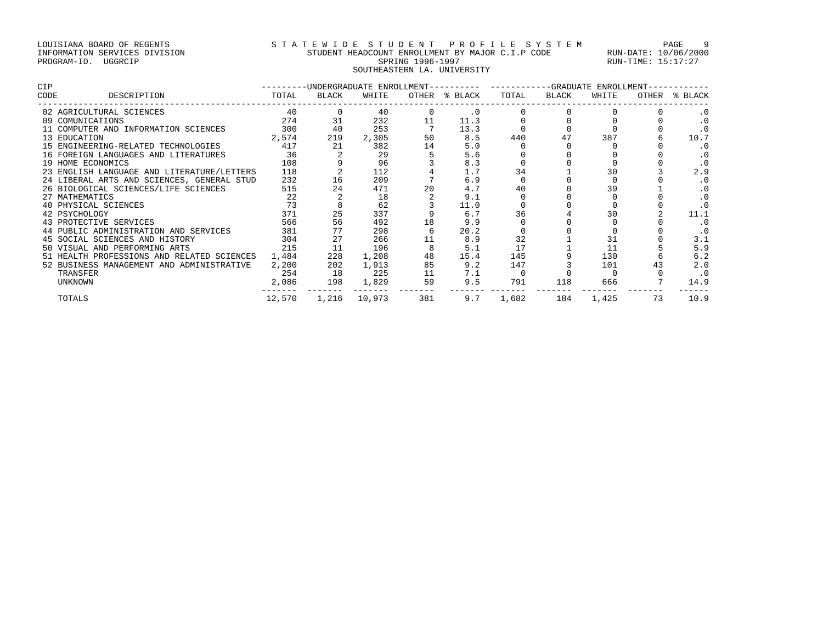# LOUISIANA BOARD OF REGENTS S T A T E W I D E S T U D E N T P R O F I L E S Y S T E M PAGE 9 INFORMATION SERVICES DIVISION STUDENT HEADCOUNT ENROLLMENT BY MAJOR C.I.P CODE RUN-DATE: 10/06/2000 PROGRAM-ID. UGGRCIP SPRING 1996-1997 SPRING 1996-1997 RUN-TIME: 15:17:27 SOUTHEASTERN LA. UNIVERSITY

| <b>CIP</b>                                 | ---------UNDERGRADUATE ENROLLMENT---------- ---------GRADUATE ENROLLMENT-- |       |        |     |               |       |       |       |       |           |
|--------------------------------------------|----------------------------------------------------------------------------|-------|--------|-----|---------------|-------|-------|-------|-------|-----------|
| CODE<br>DESCRIPTION                        | TOTAL                                                                      | BLACK | WHITE  |     | OTHER % BLACK | TOTAL | BLACK | WHITE | OTHER | % BLACK   |
| 02 AGRICULTURAL SCIENCES                   | 40                                                                         |       | 40     |     | $\cdot$ 0     |       |       |       |       |           |
| 09 COMUNICATIONS                           | 274                                                                        | 31    | 232    | 11  | 11.3          |       |       |       |       | . 0       |
| 11 COMPUTER AND INFORMATION SCIENCES       | 300                                                                        | 40    | 253    |     | 13.3          |       |       |       |       |           |
| 13 EDUCATION                               | 2,574                                                                      | 219   | 2,305  | 50  | 8.5           | 440   | 47    | 387   |       | 10.7      |
| 15 ENGINEERING-RELATED TECHNOLOGIES        | 417                                                                        | 21    | 382    | 14  | 5.0           |       |       |       |       |           |
| 16 FOREIGN LANGUAGES AND LITERATURES       | 36                                                                         |       | 29     |     | 5.6           |       |       |       |       | $\cdot$ 0 |
| 19 HOME ECONOMICS                          | 108                                                                        |       | 96     |     | 8.3           |       |       |       |       | $\cdot$ 0 |
| 23 ENGLISH LANGUAGE AND LITERATURE/LETTERS | 118                                                                        |       | 112    |     | 1.7           | 34    |       | 30    |       | 2.9       |
| 24 LIBERAL ARTS AND SCIENCES, GENERAL STUD | 232                                                                        | 16    | 209    |     | 6.9           |       |       |       |       | $\cdot$ 0 |
| 26 BIOLOGICAL SCIENCES/LIFE SCIENCES       | 515                                                                        | 24    | 471    | 20  | 4.7           | 40    |       | 39    |       | $\cdot$ 0 |
| 27 MATHEMATICS                             | 22                                                                         |       | 18     |     | 9.1           |       |       |       |       |           |
| 40 PHYSICAL SCIENCES                       | 73                                                                         |       | 62     |     | 11.0          |       |       |       |       |           |
| 42 PSYCHOLOGY                              | 371                                                                        | 25    | 337    |     | 6.7           | 36    |       | 30    |       | 11.1      |
| 43 PROTECTIVE SERVICES                     | 566                                                                        | 56    | 492    | 18  | 9.9           |       |       |       |       | $\cdot$ 0 |
| 44 PUBLIC ADMINISTRATION AND SERVICES      | 381                                                                        |       | 298    |     | 20.2          |       |       |       |       | $\cdot$ 0 |
| 45 SOCIAL SCIENCES AND HISTORY             | 304                                                                        | 27    | 266    | 11  | 8.9           | 32    |       | 31    |       | 3.1       |
| 50 VISUAL AND PERFORMING ARTS              | 215                                                                        | 11    | 196    |     | 5.1           | 17    |       | 11    |       | 5.9       |
| 51 HEALTH PROFESSIONS AND RELATED SCIENCES | 1,484                                                                      | 228   | 1,208  | 48  | 15.4          | 145   |       | 130   |       | 6.2       |
| 52 BUSINESS MANAGEMENT AND ADMINISTRATIVE  | 2,200                                                                      | 202   | 1,913  | 85  | 9.2           | 147   |       | 101   | 43    | 2.0       |
| TRANSFER                                   | 254                                                                        | 18    | 225    | 11  | 7.1           |       |       |       |       | $\cdot$ 0 |
| <b>UNKNOWN</b>                             | 2,086                                                                      | 198   | 1,829  | 59  | 9.5           | 791   | 118   | 666   |       | 14.9      |
| TOTALS                                     | 12,570                                                                     | 1,216 | 10,973 | 381 | 9.7           | 1,682 | 184   | 1,425 | 73    | 10.9      |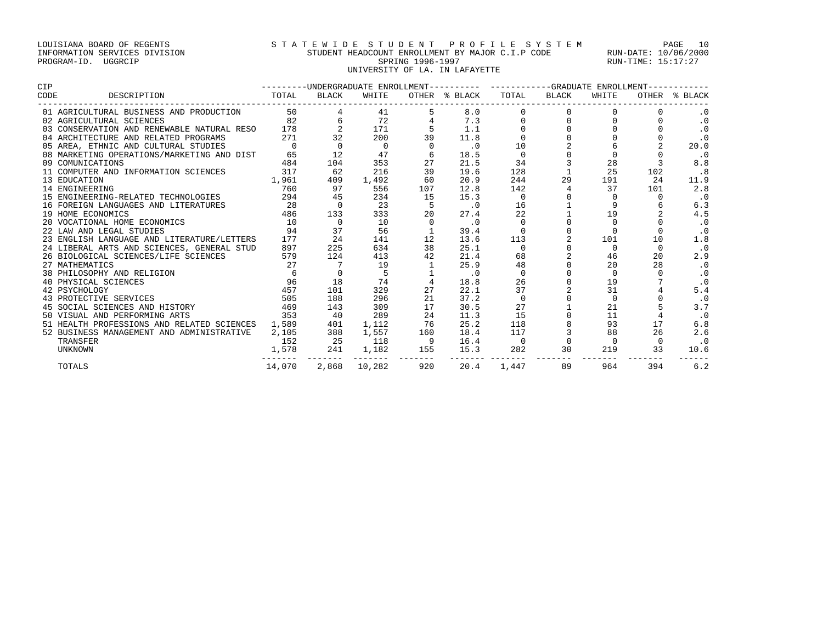# LOUISIANA BOARD OF REGENTS S T A T E W I D E S T U D E N T P R O F I L E S Y S T E M PAGE 10 INFORMATION SERVICES DIVISION STUDENT HEADCOUNT ENROLLMENT BY MAJOR C.I.P CODE RUN-DATE: 10/06/2000 PROGRAM-ID. UGGRCIP SPRING 1996-1997 SPRING 1996-1997 RUN-TIME: 15:17:27 UNIVERSITY OF LA. IN LAFAYETTE

| CIP                                              |                | ---------UNDERGRADUATE ENROLLMENT---------- ----------GRADUATE ENROLLMENT----------- |              |              |               |             |          |          |          |               |
|--------------------------------------------------|----------------|--------------------------------------------------------------------------------------|--------------|--------------|---------------|-------------|----------|----------|----------|---------------|
| CODE<br>DESCRIPTION                              | TOTAL          | BLACK                                                                                | WHITE        |              | OTHER % BLACK | TOTAL       | BLACK    | WHITE    |          | OTHER % BLACK |
| 01 AGRICULTURAL BUSINESS AND PRODUCTION          |                | 50 — 10                                                                              | 41           |              | 8.0           |             |          |          |          |               |
| 02 AGRICULTURAL SCIENCES                         | 82             |                                                                                      | 72           |              | 7.3           |             |          |          |          | $\cdot$ 0     |
| 03 CONSERVATION AND RENEWABLE NATURAL RESO       | 178            | 2                                                                                    | 171          |              | 1.1           |             |          |          |          | $\cdot$ 0     |
| 04 ARCHITECTURE AND RELATED PROGRAMS             | 271            | 32                                                                                   | 200          | 39           | 11.8          |             |          |          |          | $\cdot$ 0     |
| 05 AREA, ETHNIC AND CULTURAL STUDIES             | $\overline{0}$ |                                                                                      | 0            |              | $\cdot$ 0     | 10          |          |          |          | 20.0          |
| 08 MARKETING OPERATIONS/MARKETING AND DIST       | 65             | 12                                                                                   | 47           | 6            | 18.5          | $\Omega$    |          |          |          | $\cdot$ 0     |
| 09 COMUNICATIONS                                 | 484            | 104                                                                                  | 353          | 27           | 21.5          | 34          |          | 28       |          | 8.8           |
| 11 COMPUTER AND INFORMATION SCIENCES             | 317            | 62                                                                                   | 216          | 39           | 19.6          | 128         |          | 25       | 102      | .8            |
| 13 EDUCATION                                     | 1,961          | 409                                                                                  | 1,492        | 60           | 20.9          | 244         | 29       | 191      | 24       | 11.9          |
| 14 ENGINEERING                                   | 760            | 97                                                                                   | 556          | 107          | 12.8          | 142         |          | 37       | 101      | 2.8           |
| 15 ENGINEERING-RELATED TECHNOLOGIES 294          |                | 45                                                                                   | 234          | 15           | 15.3          | $\Omega$    |          |          |          | $\cdot$ 0     |
| 16 FOREIGN LANGUAGES AND LITERATURES             | 28             | $\overline{0}$                                                                       | 23           | 5            | $\cdot$ 0     | 16          |          |          |          | 6.3           |
| 19 HOME ECONOMICS                                | 486            | 133                                                                                  | 333          | 20           | 27.4          | 22          |          | 19       |          | 4.5           |
| 20 VOCATIONAL HOME ECONOMICS                     | 10             | $\Omega$                                                                             | 10           | $\Omega$     | $\cdot$ 0     | $\Omega$    |          | $\cap$   |          | $\cdot$ 0     |
| 22 LAW AND LEGAL STUDIES                         | 94             | 37                                                                                   | 56           |              | 39.4          |             |          |          |          | $\cdot$ 0     |
| 23 ENGLISH LANGUAGE AND LITERATURE/LETTERS       | 177            | 2.4                                                                                  | 141          | 12           | 13.6          | 113         |          | 101      | 10       | 1.8           |
| 24 LIBERAL ARTS AND SCIENCES, GENERAL STUD       | 897            | 225                                                                                  | 634          | 38           | 25.1          | $\Omega$    |          | $\Omega$ | $\Omega$ | $\cdot$ 0     |
| 26 BIOLOGICAL SCIENCES/LIFE SCIENCES             | 579            | 124                                                                                  | 413          | 42           | 21.4          | 68          |          | 46       | 20       | 2.9           |
| 27 MATHEMATICS                                   | 27             |                                                                                      | 19           |              | 25.9          | 48          |          | 20       | 2.8      | $\cdot$ 0     |
| 38 PHILOSOPHY AND RELIGION                       | 6              |                                                                                      | 5            |              | $\cdot$ 0     | $\Omega$    |          | $\Omega$ |          | $\cdot$ 0     |
| 40 PHYSICAL SCIENCES                             | 96             | 18                                                                                   | 74           |              | 18.8          | 26          |          | 19       |          | $\cdot$ 0     |
| 42 PSYCHOLOGY                                    | 457            | 101                                                                                  | 329          | 27           | 22.1          | 37          |          | 31       |          | 5.4           |
| 43 PROTECTIVE SERVICES                           | 505            | 188                                                                                  | 296          | 21           | 37.2          | $\mathbf 0$ |          | $\Omega$ |          | $\cdot$ 0     |
| 45 SOCIAL SCIENCES AND HISTORY                   | 469            | 143                                                                                  | 309          | 17           | 30.5          | 27          |          | 21       |          | 3.7           |
| 50 VISUAL AND PERFORMING ARTS                    | 353            | 40                                                                                   | 289          | 24           | 11.3          | 15          |          | 11       |          | $\cdot$ 0     |
| 51 HEALTH PROFESSIONS AND RELATED SCIENCES 1,589 |                | 401                                                                                  | 1,112        | 76           | 25.2          | 118         |          | 93       | 17       | 6.8           |
| 52 BUSINESS MANAGEMENT AND ADMINISTRATIVE        | 2,105          | 388                                                                                  | 1,557        | 160          | 18.4          | 117         |          | 88       | 26       | 2.6           |
| TRANSFER                                         | 152            | 25                                                                                   | 118          | $^{\circ}$ 9 | 16.4          | 0           | $\Omega$ | $\Omega$ | $\Omega$ | $\cdot$ 0     |
| UNKNOWN                                          | 1,578          | 241                                                                                  | 1,182        | 155          | 15.3          | 282         | 30       | 219      | 33       | 10.6          |
| <b>TOTALS</b>                                    | 14,070         |                                                                                      | 2,868 10,282 | 920          | 20.4          | 1,447       | 89       | 964      | 394      | 6.2           |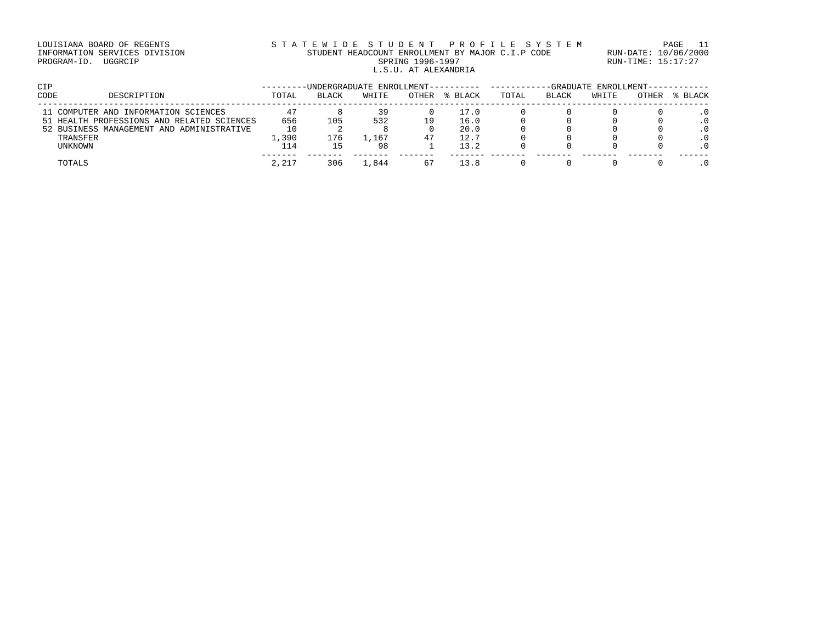# LOUISIANA BOARD OF REGENTS S T A T E W I D E S T U D E N T P R O F I L E S Y S T E M PAGE 11 INFORMATION SERVICES DIVISION STUDENT HEADCOUNT ENROLLMENT BY MAJOR C.I.P CODE RUN-DATE: 10/06/2000 PROGRAM-ID. UGGRCIP SPRING 1996-1997 SPRING 1996-1997 RUN-TIME: 15:17:27 L.S.U. AT ALEXANDRIA

| CIP  |                                            | -UNDERGRADUATE ENROLLMENT-- |       |       |              |         |       | -GRADUATE ENROLLMENT- |       |       |         |  |
|------|--------------------------------------------|-----------------------------|-------|-------|--------------|---------|-------|-----------------------|-------|-------|---------|--|
| CODE | DESCRIPTION                                | TOTAL                       | BLACK | WHITE | <b>OTHER</b> | % BLACK | TOTAL | <b>BLACK</b>          | WHITE | OTHER | % BLACK |  |
|      | 11 COMPUTER AND INFORMATION SCIENCES       |                             |       | 39    |              | 17.0    |       |                       |       |       |         |  |
|      | 51 HEALTH PROFESSIONS AND RELATED SCIENCES | 656                         | 105   | 532   | 19           | 16.0    |       |                       |       |       |         |  |
|      | 52 BUSINESS MANAGEMENT AND ADMINISTRATIVE  | 10                          |       |       |              | 20.0    |       |                       |       |       |         |  |
|      | TRANSFER                                   | 1,390                       | 176   | 1,167 | 47           | 12.7    |       |                       |       |       |         |  |
|      | UNKNOWN                                    | 114                         |       | 98    |              | 13.2    |       |                       |       |       |         |  |
|      | TOTALS                                     | 2.217                       | 306   | 1,844 | 67           | 13.8    |       |                       |       |       |         |  |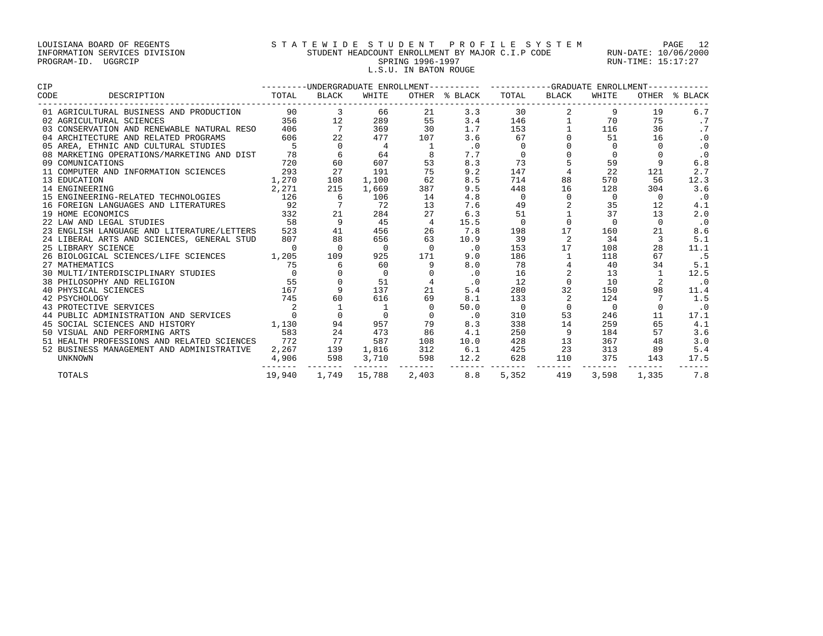### LOUISIANA BOARD OF REGENTS S T A T E W I D E S T U D E N T P R O F I L E S Y S T E M PAGE 12 INFORMATION SERVICES DIVISION STUDENT HEADCOUNT ENROLLMENT BY MAJOR C.I.P CODE RUN-DATE: 10/06/2000 PROGRAM-ID. UGGRCIP SPRING 1996-1997 SPRING 1996-1997 RUN-TIME: 15:17:27 L.S.U. IN BATON ROUGE

| <b>CIP</b>                                                                                                                                                                                                                                   | ---------UNDERGRADUATE ENROLLMENT---------- ----------GRADUATE ENROLLMENT----------- |                      |                           |                |                             |          |                        |             |                 |               |
|----------------------------------------------------------------------------------------------------------------------------------------------------------------------------------------------------------------------------------------------|--------------------------------------------------------------------------------------|----------------------|---------------------------|----------------|-----------------------------|----------|------------------------|-------------|-----------------|---------------|
| DESCRIPTION TOTAL BLACK<br>CODE                                                                                                                                                                                                              |                                                                                      |                      | WHITE                     |                | OTHER % BLACK TOTAL BLACK   |          |                        | WHITE       |                 | OTHER % BLACK |
|                                                                                                                                                                                                                                              |                                                                                      |                      | 66                        | 21             | 3.3                         | 30       |                        | 9           | 19              | 6.7           |
|                                                                                                                                                                                                                                              |                                                                                      |                      | 289                       | 55             | 3.4                         | 146      | $1 \quad \blacksquare$ | 70          | 75              | .7            |
|                                                                                                                                                                                                                                              |                                                                                      | $\frac{7}{22}$       | 369                       | 30             | 1.7                         | 153      |                        | 116         | 36              | .7            |
| 04 ARCHITECTURE AND RELATED PROGRAMS                                                                                                                                                                                                         | 606                                                                                  |                      | 477                       | 107            | 3.6                         | 67       |                        | 51          | 16              | $\cdot$ 0     |
| 05 AREA, ETHNIC AND CULTURAL STUDIES                                                                                                                                                                                                         | $5^{\circ}$                                                                          | $\Omega$             | 4                         |                | $\cdot$ 0                   | $\Omega$ |                        | $\Omega$    | $\Omega$        | $\cdot$ 0     |
| 08 MARKETING OPERATIONS/MARKETING AND DIST 78                                                                                                                                                                                                |                                                                                      |                      | $6\overline{6}$<br>64     |                | 7.7                         | $\Omega$ |                        | $\Omega$    |                 | $\cdot$ 0     |
| 720<br>09 COMUNICATIONS                                                                                                                                                                                                                      |                                                                                      | 60                   | 607                       | 53             | 8.3                         | 73       |                        | 59          | 9               | 6.8           |
| 11 COMPUTER AND INFORMATION SCIENCES 293                                                                                                                                                                                                     |                                                                                      | 27                   | 191                       | 75             | 9.2                         | 147      |                        | 22          | 121             | 2.7           |
| 1,270<br>14 ENGINEERING 2,271<br>15 ENGINEERING-RELATED TECHNOLOGIES 2,271<br>126                                                                                                                                                            |                                                                                      | 108                  | 1,100                     | 62             | 8.5                         | 714      | 88                     | 570         | 56              | 12.3          |
|                                                                                                                                                                                                                                              |                                                                                      | 215                  | 1,669                     | 387            | 9.5                         | 448      | 16                     | 128         | 304             | 3.6           |
|                                                                                                                                                                                                                                              |                                                                                      | 6                    | 106                       | 14             | 4.8                         | $\Omega$ | $\Omega$               | $\mathbf 0$ | $\Omega$        | $\cdot$ 0     |
| 16 FOREIGN LANGUAGES AND LITERATURES                                                                                                                                                                                                         | 92                                                                                   | $7\overline{7}$      | 72                        | 13             | 7.6                         | 49       |                        | 35          | 12              | 4.1           |
| 332<br>19 HOME ECONOMICS                                                                                                                                                                                                                     |                                                                                      | 21                   | 284                       | 27             | 6.3                         | 51       |                        | 37          | 13              | 2.0           |
| 58<br>22 LAW AND LEGAL STUDIES                                                                                                                                                                                                               |                                                                                      | $\overline{9}$       | 45                        | $\overline{4}$ | 15.5                        | $\Omega$ | $\Omega$               | $\Omega$    | $\Omega$        | $\cdot$ 0     |
| 23 ENGLISH LANGUAGE AND LITERATURE/LETTERS 523                                                                                                                                                                                               |                                                                                      | 41                   | 456                       | 26             | 7.8                         | 198      | 17                     | 160         | 21              | 8.6           |
| 24 LIBERAL ARTS AND SCIENCES, GENERAL STUD                                                                                                                                                                                                   | 807                                                                                  | 88                   | 656                       | 63             | 10.9                        | 39       | 2                      | 34          | $\mathbf{3}$    | 5.1           |
| 25 LIBRARY SCIENCE                                                                                                                                                                                                                           | $\overline{0}$                                                                       | $\Omega$             | $\overline{0}$            | $\overline{0}$ | $\overline{\phantom{0}}$ .0 | 153      | 17                     | 108         | 28              | 11.1          |
| 26 BIOLOGICAL SCIENCES/LIFE SCIENCES 1,205                                                                                                                                                                                                   |                                                                                      | 109                  | 925                       | 171            | 9.0                         | 186      |                        | 118         | 67              | .5            |
| 27 MATHEMATICS                                                                                                                                                                                                                               | 75                                                                                   | 6                    | 60                        | 9              | 8.0                         | 78       |                        | 40          | 34              | 5.1           |
|                                                                                                                                                                                                                                              |                                                                                      |                      | $\overline{0}$            |                | $\cdot$ 0                   | 16       |                        | 13          | $\mathbf{1}$    | 12.5          |
|                                                                                                                                                                                                                                              |                                                                                      |                      | 51                        |                | $\cdot$ 0                   | 12       | $\mathbf 0$            | 10          |                 | $\cdot$ 0     |
|                                                                                                                                                                                                                                              |                                                                                      |                      | 137                       | 21             | 5.4                         | 280      | 32                     | 150         | 98              | 11.4          |
|                                                                                                                                                                                                                                              |                                                                                      | 60                   | 616                       | 69             | 8.1                         | 133      | 2                      | 124         |                 | 1.5           |
| 27 MATHEMATICS 75<br>30 MULTI/INTERDISCIPLINARY STUDIES 6<br>38 PHILOSOPHY AND RELIGION 55<br>40 PHYSICAL SCIENCES 167<br>42 PSYCHOLOGY 145<br>43 PROTECTIVE SERVICES 2<br>44 PUBLIC ADMINISTRATION AND SERVICES 2<br>44 PUBLIC ADMINISTRATI |                                                                                      |                      |                           | $\Omega$       | 50.0                        | $\Omega$ | $\Omega$               | $\Omega$    | $\Omega$        | $\cdot$ 0     |
|                                                                                                                                                                                                                                              |                                                                                      | $\overline{0}$       |                           | $\Omega$       | $\cdot$ 0                   | 310      | 53                     | 246         | 11              | 17.1          |
| 45 SOCIAL SCIENCES AND HISTORY 1,130                                                                                                                                                                                                         |                                                                                      |                      | 94 957                    | 79             | 8.3                         | 338      | 14                     | 259         | 65              | 4.1           |
| 583<br>50 VISUAL AND PERFORMING ARTS                                                                                                                                                                                                         |                                                                                      | 24                   | 473                       | 86             | 4.1                         | 250      |                        | 184         | 57              | 3.6           |
| 51 HEALTH PROFESSIONS AND RELATED SCIENCES 772                                                                                                                                                                                               |                                                                                      | 77                   | 587                       | 108            | 10.0                        | 428      | 13                     | 367         | 48              | 3.0           |
| 52 BUSINESS MANAGEMENT AND ADMINISTRATIVE                                                                                                                                                                                                    |                                                                                      |                      | 1,816                     | 312            | 6.1                         | 425      | 23                     | 313         | 89              | 5.4           |
| UNKNOWN                                                                                                                                                                                                                                      |                                                                                      | $2,267$<br>4,906 598 | 3,710                     | 5.             | 598 12.2                    | 628      | 110                    | 375         | 143             | 17.5          |
| TOTALS                                                                                                                                                                                                                                       |                                                                                      |                      | 19,940 1,749 15,788 2,403 |                | 8.8                         | 5,352    | 419                    |             | 3,598 1,335 7.8 |               |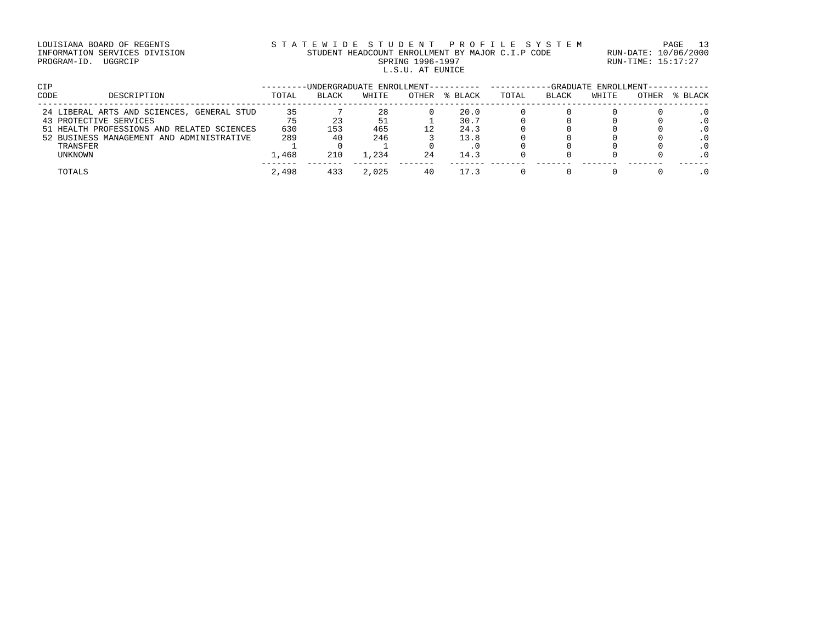### LOUISIANA BOARD OF REGENTS STATEWIDE STUDENT PROFILE SYSTEM PAGE 13 INFORMATION SERVICES DIVISION STUDENT HEADCOUNT ENROLLMENT BY MAJOR C.I.P CODE RUN-DATE: 10/06/2000 PROGRAM-ID. UGGRCIP SPRING 1996-1997 SPRING 1996-1997 RUN-TIME: 15:17:27 L.S.U. AT EUNICE

| <b>CIP</b> |                                            | -UNDERGRADUATE ENROLLMENT-- |              |       |       | -GRADUATE ENROLLMENT-- |       |       |       |       |         |
|------------|--------------------------------------------|-----------------------------|--------------|-------|-------|------------------------|-------|-------|-------|-------|---------|
| CODE       | DESCRIPTION                                | TOTAL                       | <b>BLACK</b> | WHITE | OTHER | % BLACK                | TOTAL | BLACK | WHITE | OTHER | % BLACK |
|            | 24 LIBERAL ARTS AND SCIENCES, GENERAL STUD | 35                          |              | 28    |       | 20.0                   |       |       |       |       |         |
|            | 43 PROTECTIVE SERVICES                     | 75                          |              | 51    |       | 30.7                   |       |       |       |       |         |
|            | 51 HEALTH PROFESSIONS AND RELATED SCIENCES | 630                         | 153          | 465   | 12    | 24.3                   |       |       |       |       |         |
|            | 52 BUSINESS MANAGEMENT AND ADMINISTRATIVE  | 289                         | 40           | 246   |       | 13.8                   |       |       |       |       |         |
|            | TRANSFER                                   |                             |              |       |       |                        |       |       |       |       |         |
|            | UNKNOWN                                    | 1,468                       | 210          | 1,234 | 24    | 14.3                   |       |       |       |       |         |
|            | TOTALS                                     | 2,498                       | 433          | 2,025 | 40    | 17.3                   |       |       |       |       |         |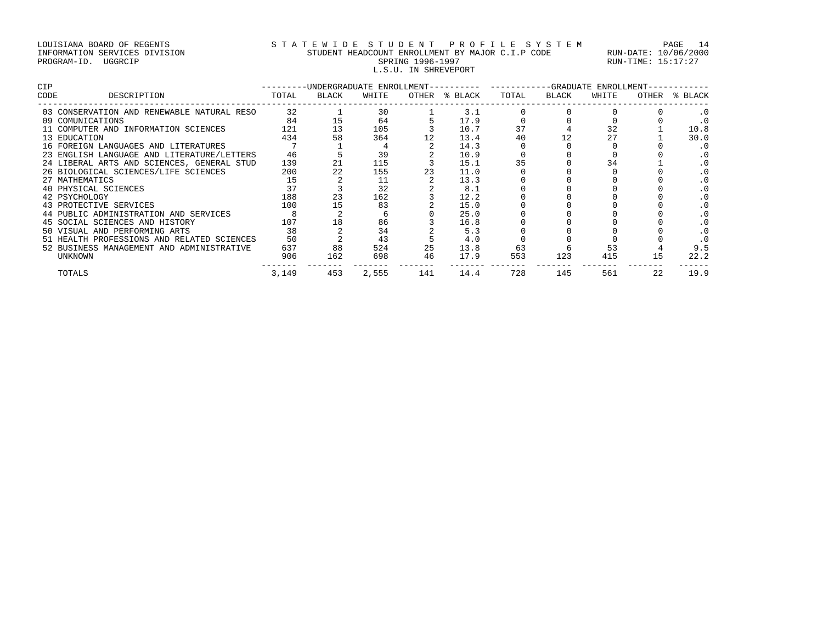### LOUISIANA BOARD OF REGENTS S T A T E W I D E S T U D E N T P R O F I L E S Y S T E M PAGE 14 INFORMATION SERVICES DIVISION STUDENT HEADCOUNT ENROLLMENT BY MAJOR C.I.P CODE RUN-DATE: 10/06/2000 PROGRAM-ID. UGGRCIP SPRING 1996-1997 SPRING 1996-1997 RUN-TIME: 15:17:27 L.S.U. IN SHREVEPORT

| <b>CIP</b> |                                            | -------- |       |       |     | -UNDERGRADUATE ENROLLMENT---------- | -----------GRADUATE ENROLLMENT- |       |       |       |         |
|------------|--------------------------------------------|----------|-------|-------|-----|-------------------------------------|---------------------------------|-------|-------|-------|---------|
| CODE       | DESCRIPTION                                | TOTAL    | BLACK | WHITE |     | OTHER % BLACK                       | TOTAL                           | BLACK | WHITE | OTHER | % BLACK |
|            | 03 CONSERVATION AND RENEWABLE NATURAL RESO | 32       |       | 30    |     | 3.1                                 |                                 |       |       |       |         |
|            | 09 COMUNICATIONS                           | 84       | 15    | 64    |     | 17.9                                |                                 |       |       |       |         |
|            | 11 COMPUTER AND INFORMATION SCIENCES       | 121      | 13    | 105   |     | 10.7                                | 37                              |       | 32    |       | 10.8    |
|            | 13 EDUCATION                               | 434      | 58    | 364   |     | 13.4                                | 40                              |       | 27    |       | 30.0    |
|            | 16 FOREIGN LANGUAGES AND LITERATURES       |          |       |       |     | 14.3                                |                                 |       |       |       | . 0     |
|            | 23 ENGLISH LANGUAGE AND LITERATURE/LETTERS | 46       |       | 39    |     | 10.9                                |                                 |       |       |       |         |
|            | 24 LIBERAL ARTS AND SCIENCES, GENERAL STUD | 139      | 21    | 115   |     | 15.1                                | 35                              |       | 34    |       |         |
|            | 26 BIOLOGICAL SCIENCES/LIFE SCIENCES       | 200      | 22    | 155   | 23  | 11.0                                |                                 |       |       |       |         |
|            | 27 MATHEMATICS                             | 15       |       | 11    |     | 13.3                                |                                 |       |       |       |         |
|            | 40 PHYSICAL SCIENCES                       | 37       |       | 32    |     | 8.1                                 |                                 |       |       |       |         |
|            | 42 PSYCHOLOGY                              | 188      | 23    | 162   |     | 12.2                                |                                 |       |       |       |         |
|            | 43 PROTECTIVE SERVICES                     | 100      | 15    | 83    |     | 15.0                                |                                 |       |       |       |         |
|            | 44 PUBLIC ADMINISTRATION AND SERVICES      |          |       |       |     | 25.0                                |                                 |       |       |       |         |
|            | 45 SOCIAL SCIENCES AND HISTORY             | 107      | 18    | 86    |     | 16.8                                |                                 |       |       |       |         |
|            | 50 VISUAL AND PERFORMING ARTS              | 38       |       | 34    |     | 5.3                                 |                                 |       |       |       |         |
|            | 51 HEALTH PROFESSIONS AND RELATED SCIENCES | 50       |       | 43    |     | 4.0                                 |                                 |       |       |       |         |
|            | 52 BUSINESS MANAGEMENT AND ADMINISTRATIVE  | 637      | 88    | 524   | 25  | 13.8                                | 63                              |       | 53    |       | 9.5     |
|            | UNKNOWN                                    | 906      | 162   | 698   | 46  | 17.9                                | 553                             | 123   | 415   | 15    | 22.2    |
|            | TOTALS                                     | 3,149    | 453   | 2,555 | 141 | 14.4                                | 728                             | 145   | 561   | 2.2   | 19.9    |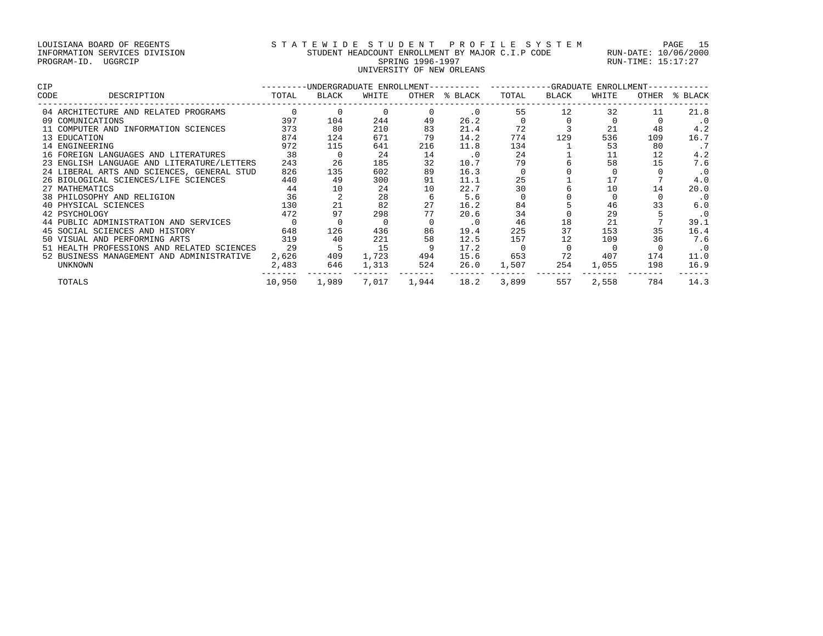# LOUISIANA BOARD OF REGENTS S T A T E W I D E S T U D E N T P R O F I L E S Y S T E M PAGE 15 INFORMATION SERVICES DIVISION STUDENT HEADCOUNT ENROLLMENT BY MAJOR C.I.P CODE RUN-DATE: 10/06/2000 PROGRAM-ID. UGGRCIP SPRING 1996-1997 SPRING 1996-1997 RUN-TIME: 15:17:27 SPRING 1996-1997<br>UNIVERSITY OF NEW ORLEANS

| <b>CIP</b> |                                            |        | -UNDERGRADUATE ENROLLMENT---------- |          |       |           |       |       | --GRADUATE ENROLLMENT- |       |           |
|------------|--------------------------------------------|--------|-------------------------------------|----------|-------|-----------|-------|-------|------------------------|-------|-----------|
| CODE       | DESCRIPTION                                | TOTAL  | BLACK                               | WHITE    | OTHER | % BLACK   | TOTAL | BLACK | WHITE                  | OTHER | % BLACK   |
|            | 04 ARCHITECTURE AND RELATED PROGRAMS       |        |                                     | $\Omega$ |       | $\cdot$ 0 | 55    | 12    | 32                     | 11    | 21.8      |
|            | 09 COMUNICATIONS                           | 397    | 104                                 | 244      | 49    | 26.2      |       |       |                        |       | . 0       |
|            | 11 COMPUTER AND INFORMATION SCIENCES       | 373    | 80                                  | 210      | 83    | 21.4      | 72    |       | 21                     | 48    | 4.2       |
|            | 13 EDUCATION                               | 874    | 124                                 | 671      | 79    | 14.2      | 774   | 129   | 536                    | 109   | 16.7      |
|            | 14 ENGINEERING                             | 972    | 115                                 | 641      | 216   | 11.8      | 134   |       | 53                     | 80    | . 7       |
|            | 16 FOREIGN LANGUAGES AND LITERATURES       | 38     |                                     | 24       | 14    | $\cdot$ 0 | 24    |       |                        | 12    | 4.2       |
|            | 23 ENGLISH LANGUAGE AND LITERATURE/LETTERS | 243    | 26                                  | 185      | 32    | 10.7      | 79    |       | 58                     | 15    | 7.6       |
|            | 24 LIBERAL ARTS AND SCIENCES, GENERAL STUD | 826    | 135                                 | 602      | 89    | 16.3      |       |       |                        |       | $\cdot$ 0 |
|            | 26 BIOLOGICAL SCIENCES/LIFE SCIENCES       | 440    | 49                                  | 300      | 91    | 11.1      | 25    |       | 17                     |       | 4.0       |
|            | 27 MATHEMATICS                             | 44     | 10                                  | 24       | 10    | 22.7      | 30    |       | 10                     | 14    | 20.0      |
|            | 38 PHILOSOPHY AND RELIGION                 | 36     |                                     | 28       | -6    | 5.6       |       |       |                        |       | $\cdot$ 0 |
|            | 40 PHYSICAL SCIENCES                       | 130    | 21                                  | 82       | 27    | 16.2      | 84    |       | 46                     | 33    | 6.0       |
|            | 42 PSYCHOLOGY                              | 472    | 97                                  | 298      | 77    | 20.6      | 34    |       | 29                     |       | $\cdot$ 0 |
|            | 44 PUBLIC ADMINISTRATION AND SERVICES      |        |                                     |          |       | $\cdot$ 0 | 46    | 18    | 21                     |       | 39.1      |
|            | 45 SOCIAL SCIENCES AND HISTORY             | 648    | 126                                 | 436      | 86    | 19.4      | 225   | 37    | 153                    | 35    | 16.4      |
|            | 50 VISUAL AND PERFORMING ARTS              | 319    | 40                                  | 221      | 58    | 12.5      | 157   | 12    | 109                    | 36    | 7.6       |
|            | 51 HEALTH PROFESSIONS AND RELATED SCIENCES | 29     | 5                                   | 15       | 9     | 17.2      |       |       |                        |       | $\cdot$ 0 |
|            | 52 BUSINESS MANAGEMENT AND ADMINISTRATIVE  | 2,626  | 409                                 | 1,723    | 494   | 15.6      | 653   | 72    | 407                    | 174   | 11.0      |
|            | UNKNOWN                                    | 2,483  | 646                                 | 1,313    | 524   | 26.0      | 1,507 | 254   | 1,055                  | 198   | 16.9      |
|            | TOTALS                                     | 10,950 | 1,989                               | 7,017    | 1,944 | 18.2      | 3,899 | 557   | 2,558                  | 784   | 14.3      |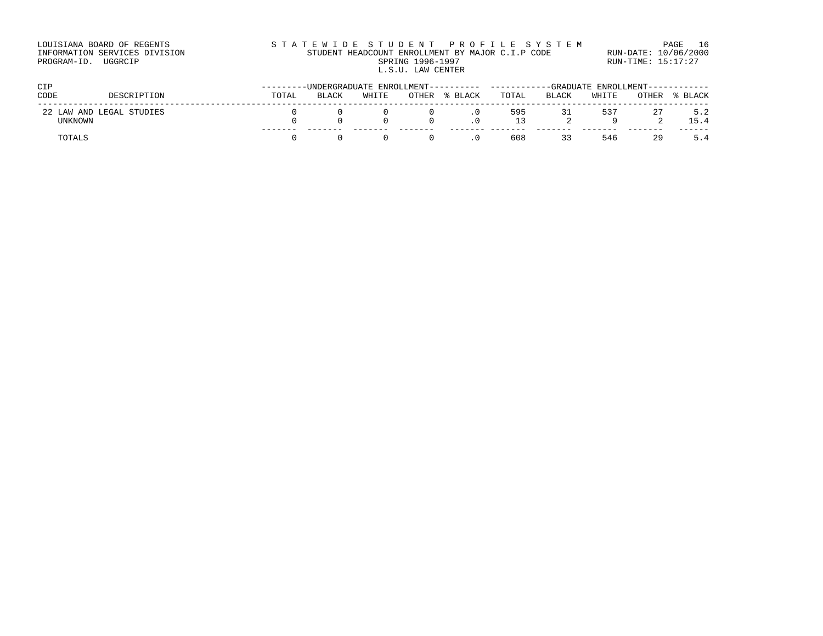| LOUISIANA BOARD OF REGENTS    | STATEWIDE STUDENT PROFILE SYSTEM                 | PAGE 16              |
|-------------------------------|--------------------------------------------------|----------------------|
| INFORMATION SERVICES DIVISION | STUDENT HEADCOUNT ENROLLMENT BY MAJOR C.I.P CODE | RUN-DATE: 10/06/2000 |
| PROGRAM-ID.<br>UGGRCIP        | SPRING 1996-1997                                 | RUN-TIME: 15:17:27   |
|                               | L.S.U. LAW CENTER                                |                      |

| <b>CIP</b>      |                       |       | -UNDERGRADUATE ENROLLMENT----- |       |       |         |           |              | -GRADUATE ENROLLMENT------ |       |             |  |  |
|-----------------|-----------------------|-------|--------------------------------|-------|-------|---------|-----------|--------------|----------------------------|-------|-------------|--|--|
| CODE            | DESCRIPTION           | TOTAL | <b>BLACK</b>                   | WHITE | OTHER | % BLACK | TOTAL     | <b>BLACK</b> | WHITE                      | OTHER | % BLACK     |  |  |
| 22 1<br>UNKNOWN | LAW AND LEGAL STUDIES |       |                                |       |       |         | 595<br>13 | 31           | 537                        | 27    | 5.2<br>15.4 |  |  |
| TOTALS          |                       |       |                                |       |       |         | 608       | 33           | 546                        | 29    | 5.4         |  |  |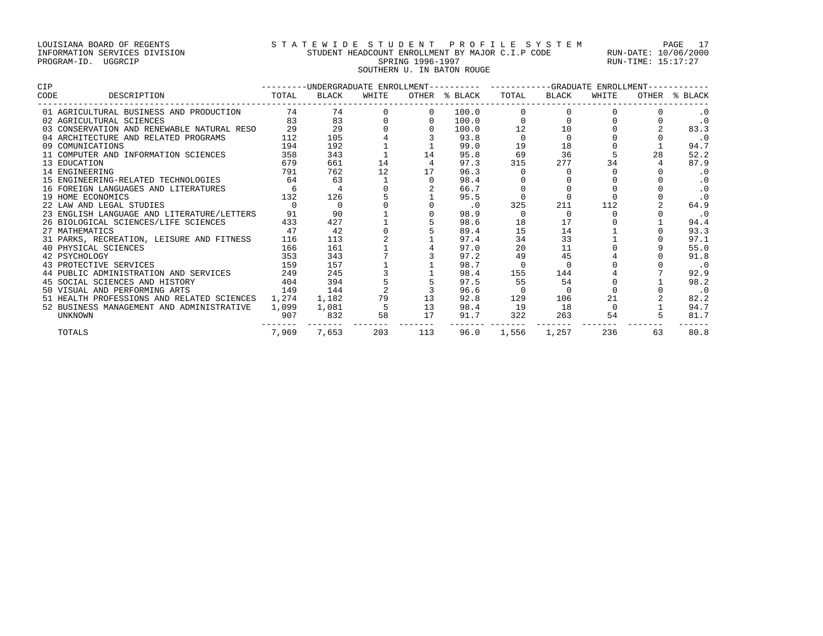# LOUISIANA BOARD OF REGENTS S T A T E W I D E S T U D E N T P R O F I L E S Y S T E M PAGE 17 INFORMATION SERVICES DIVISION STUDENT HEADCOUNT ENROLLMENT BY MAJOR C.I.P CODE RUN-DATE: 10/06/2000 PROGRAM-ID. UGGRCIP SPRING 1996-1997 SPRING 1996-1997 RUN-TIME: 15:17:27 SOUTHERN U. IN BATON ROUGE

| <b>CIP</b> |                                            |          |                |       |     | ---------UNDERGRADUATE ENROLLMENT---------- ----------GRADUATE ENROLLMENT- |          |             |       |    |               |
|------------|--------------------------------------------|----------|----------------|-------|-----|----------------------------------------------------------------------------|----------|-------------|-------|----|---------------|
| CODE       | DESCRIPTION                                | TOTAL    | <b>BLACK</b>   | WHITE |     | OTHER % BLACK                                                              |          | TOTAL BLACK | WHITE |    | OTHER % BLACK |
|            | 01 AGRICULTURAL BUSINESS AND PRODUCTION    | 74       | 74             |       |     | 100.0                                                                      |          |             |       |    |               |
|            | 02 AGRICULTURAL SCIENCES                   | 83       | 83             |       |     | 100.0                                                                      |          | $\cap$      |       |    | $\cdot$ 0     |
|            | 03 CONSERVATION AND RENEWABLE NATURAL RESO | 29       | 29             |       |     | 100.0                                                                      | 12       | 10          |       |    | 83.3          |
|            | 04 ARCHITECTURE AND RELATED PROGRAMS       | 112      | 105            |       |     | 93.8                                                                       |          | $\Omega$    |       |    | $\cdot$ 0     |
|            | 09 COMUNICATIONS                           | 194      | 192            |       |     | 99.0                                                                       | 19       | 18          |       |    | 94.7          |
|            | 11 COMPUTER AND INFORMATION SCIENCES       | 358      | 343            |       | 14  | 95.8                                                                       | 69       | 36          |       | 28 | 52.2          |
|            | 13 EDUCATION                               | 679      | 661            | 14    |     | 97.3                                                                       | 315      | 277         | 34    |    | 87.9          |
|            | 14 ENGINEERING                             | 791      | 762            | 12    | 17  | 96.3                                                                       |          |             |       |    | $\cdot$ 0     |
|            | 15 ENGINEERING-RELATED TECHNOLOGIES        | 64       | 63             |       |     | 98.4                                                                       |          |             |       |    | $\cdot$ 0     |
|            | 16 FOREIGN LANGUAGES AND LITERATURES       | 6        | $\overline{4}$ |       |     | 66.7                                                                       |          |             |       |    | .0            |
|            | 19 HOME ECONOMICS                          | 132      | 126            |       |     | 95.5                                                                       |          |             |       |    | $\cdot$ 0     |
|            | 22 LAW AND LEGAL STUDIES                   | $\Omega$ | $\Omega$       |       |     | $\cdot$ 0                                                                  | 325      | 211         | 112   |    | 64.9          |
|            | 23 ENGLISH LANGUAGE AND LITERATURE/LETTERS | 91       | 90             |       |     | 98.9                                                                       |          | $\Omega$    |       |    | $\cdot$ 0     |
|            | 26 BIOLOGICAL SCIENCES/LIFE SCIENCES       | 433      | 427            |       |     | 98.6                                                                       | 18       | 17          |       |    | 94.4          |
|            | 27 MATHEMATICS                             | 47       | 42             |       |     | 89.4                                                                       | 15       | 14          |       |    | 93.3          |
|            | 31 PARKS, RECREATION, LEISURE AND FITNESS  | 116      | 113            |       |     | 97.4                                                                       | 34       | 33          |       |    | 97.1          |
|            | 40 PHYSICAL SCIENCES                       | 166      | 161            |       |     | 97.0                                                                       | 20       | 11          |       |    | 55.0          |
|            | 42 PSYCHOLOGY                              | 353      | 343            |       |     | 97.2                                                                       | 49       | 45          |       |    | 91.8          |
|            | 43 PROTECTIVE SERVICES                     | 159      | 157            |       |     | 98.7                                                                       | $\Omega$ |             |       |    | $\cdot$ 0     |
|            | 44 PUBLIC ADMINISTRATION AND SERVICES 249  |          | 245            |       |     | 98.4                                                                       | 155      | 144         |       |    | 92.9          |
|            | 45 SOCIAL SCIENCES AND HISTORY             | 404      | 394            |       |     | 97.5                                                                       | 55       | 54          |       |    | 98.2          |
|            | 50 VISUAL AND PERFORMING ARTS              | 149      | 144            |       |     | 96.6                                                                       |          |             |       |    | $\cdot$ 0     |
|            | 51 HEALTH PROFESSIONS AND RELATED SCIENCES | 1,274    | 1,182          | 79    | 13  | 92.8                                                                       | 129      | 106         | 21    |    | 82.2          |
|            | 52 BUSINESS MANAGEMENT AND ADMINISTRATIVE  | 1,099    | 1,081          |       | 13  | 98.4                                                                       | 19       | 18          |       |    | 94.7          |
|            | <b>UNKNOWN</b>                             | 907      | 832            | 58    | 17  | 91.7                                                                       | 322      | 263         | 54    |    | 81.7          |
|            | TOTALS                                     | 7,969    | 7,653          | 203   | 113 | 96.0                                                                       | 1,556    | 1,257       | 236   | 63 | 80.8          |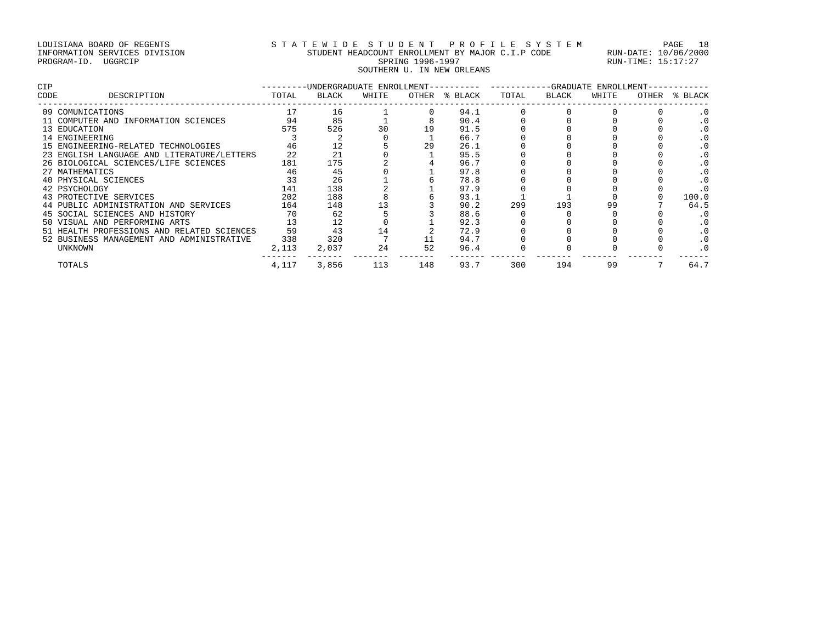# LOUISIANA BOARD OF REGENTS S T A T E W I D E S T U D E N T P R O F I L E S Y S T E M PAGE 18 INFORMATION SERVICES DIVISION STUDENT HEADCOUNT ENROLLMENT BY MAJOR C.I.P CODE RUN-DATE: 10/06/2000 PROGRAM-ID. UGGRCIP SPRING 1996-1997 SPRING 1996-1997 RUN-TIME: 15:17:27 SOUTHERN U. IN NEW ORLEANS

| <b>CIP</b> |                                            |       | -UNDERGRADUATE ENROLLMENT- |       |       |         |       |       | -GRADUATE ENROLLMENT- |       |           |
|------------|--------------------------------------------|-------|----------------------------|-------|-------|---------|-------|-------|-----------------------|-------|-----------|
| CODE       | DESCRIPTION                                | TOTAL | BLACK                      | WHITE | OTHER | % BLACK | TOTAL | BLACK | WHITE                 | OTHER | % BLACK   |
|            | 09 COMUNICATIONS                           |       | 16                         |       |       | 94.1    |       |       |                       |       |           |
|            | 11 COMPUTER AND INFORMATION SCIENCES       | 94    | 85                         |       |       | 90.4    |       |       |                       |       |           |
|            | 13 EDUCATION                               | 575   | 526                        | 30    | 19    | 91.5    |       |       |                       |       |           |
|            | 14 ENGINEERING                             |       |                            |       |       | 66.7    |       |       |                       |       |           |
|            | 15 ENGINEERING-RELATED TECHNOLOGIES        | 46    |                            |       | 29    | 26.1    |       |       |                       |       |           |
|            | 23 ENGLISH LANGUAGE AND LITERATURE/LETTERS | 22    | 21                         |       |       | 95.5    |       |       |                       |       |           |
|            | 26 BIOLOGICAL SCIENCES/LIFE SCIENCES       | 181   | 175                        |       |       | 96.7    |       |       |                       |       |           |
|            | 27 MATHEMATICS                             | 46    | 45                         |       |       | 97.8    |       |       |                       |       |           |
|            | 40 PHYSICAL SCIENCES                       | 33    | 26                         |       |       | 78.8    |       |       |                       |       | $\cdot$ 0 |
|            | 42 PSYCHOLOGY                              | 141   | 138                        |       |       | 97.9    |       |       |                       |       |           |
|            | 43 PROTECTIVE SERVICES                     | 202   | 188                        |       |       | 93.1    |       |       |                       |       | 100.0     |
|            | 44 PUBLIC ADMINISTRATION AND SERVICES      | 164   | 148                        |       |       | 90.2    | 299   | 193   | 99                    |       | 64.5      |
|            | 45 SOCIAL SCIENCES AND HISTORY             | 70    | 62                         |       |       | 88.6    |       |       |                       |       |           |
|            | 50 VISUAL AND PERFORMING ARTS              | 13    |                            |       |       | 92.3    |       |       |                       |       |           |
|            | 51 HEALTH PROFESSIONS AND RELATED SCIENCES | 59    | 43                         |       |       | 72.9    |       |       |                       |       |           |
|            | 52 BUSINESS MANAGEMENT AND ADMINISTRATIVE  | 338   | 320                        |       |       | 94.7    |       |       |                       |       | $\cdot$ 0 |
|            | UNKNOWN                                    | 2,113 | 2,037                      | 24    | 52    | 96.4    |       |       |                       |       | $\cdot$ 0 |
|            | TOTALS                                     | 4,117 | 3,856                      | 113   | 148   | 93.7    | 300   | 194   | 99                    |       | 64.7      |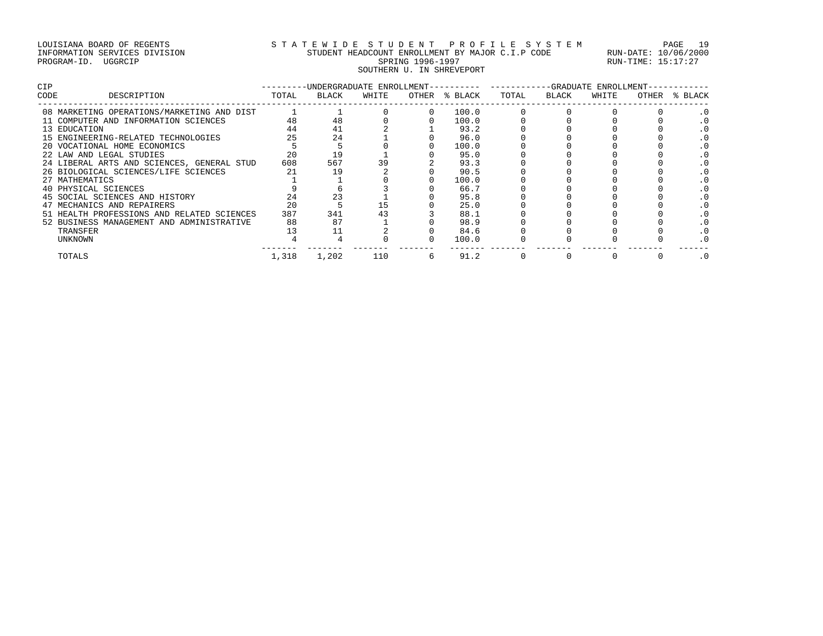# LOUISIANA BOARD OF REGENTS S T A T E W I D E S T U D E N T P R O F I L E S Y S T E M PAGE 19 INFORMATION SERVICES DIVISION STUDENT HEADCOUNT ENROLLMENT BY MAJOR C.I.P CODE RUN-DATE: 10/06/2000 PROGRAM-ID. UGGRCIP SPRING 1996-1997 SPRING 1996-1997 RUN-TIME: 15:17:27 SOUTHERN U. IN SHREVEPORT

| <b>CIP</b> |                                            |       | -UNDERGRADUATE ENROLLMENT- |       |       |         |       | -GRADUATE | ENROLLMENT- |       |         |
|------------|--------------------------------------------|-------|----------------------------|-------|-------|---------|-------|-----------|-------------|-------|---------|
| CODE       | DESCRIPTION                                | TOTAL | BLACK                      | WHITE | OTHER | % BLACK | TOTAL | BLACK     | WHITE       | OTHER | % BLACK |
|            | 08 MARKETING OPERATIONS/MARKETING AND DIST |       |                            |       |       | 100.0   |       |           |             |       |         |
|            | 11 COMPUTER AND INFORMATION SCIENCES       | 48    | 48                         |       |       | 100.0   |       |           |             |       |         |
|            | 13 EDUCATION                               | 44    | 41                         |       |       | 93.2    |       |           |             |       |         |
|            | 15 ENGINEERING-RELATED TECHNOLOGIES        | 25    | 24                         |       |       | 96.0    |       |           |             |       |         |
|            | 20 VOCATIONAL HOME ECONOMICS               |       |                            |       |       | 100.0   |       |           |             |       |         |
|            | 22 LAW AND LEGAL STUDIES                   | 20    | 19                         |       |       | 95.0    |       |           |             |       |         |
|            | 24 LIBERAL ARTS AND SCIENCES, GENERAL STUD | 608   | 567                        |       |       | 93.3    |       |           |             |       |         |
|            | 26 BIOLOGICAL SCIENCES/LIFE SCIENCES       |       | 19                         |       |       | 90.5    |       |           |             |       |         |
|            | 27 MATHEMATICS                             |       |                            |       |       | 100.0   |       |           |             |       |         |
|            | 40 PHYSICAL SCIENCES                       |       |                            |       |       | 66.7    |       |           |             |       |         |
|            | 45 SOCIAL SCIENCES AND HISTORY             | 24    | 23                         |       |       | 95.8    |       |           |             |       |         |
|            | 47 MECHANICS AND REPAIRERS                 | 20    |                            |       |       | 25.0    |       |           |             |       |         |
|            | 51 HEALTH PROFESSIONS AND RELATED SCIENCES | 387   | 341                        | 43    |       | 88.1    |       |           |             |       |         |
|            | 52 BUSINESS MANAGEMENT AND ADMINISTRATIVE  | 88    | 87                         |       |       | 98.9    |       |           |             |       |         |
|            | TRANSFER                                   |       |                            |       |       | 84.6    |       |           |             |       |         |
|            | UNKNOWN                                    |       |                            |       |       | 100.0   |       |           |             |       |         |
|            | TOTALS                                     | 1,318 | 1,202                      | 110   | 6     | 91.2    |       |           |             |       |         |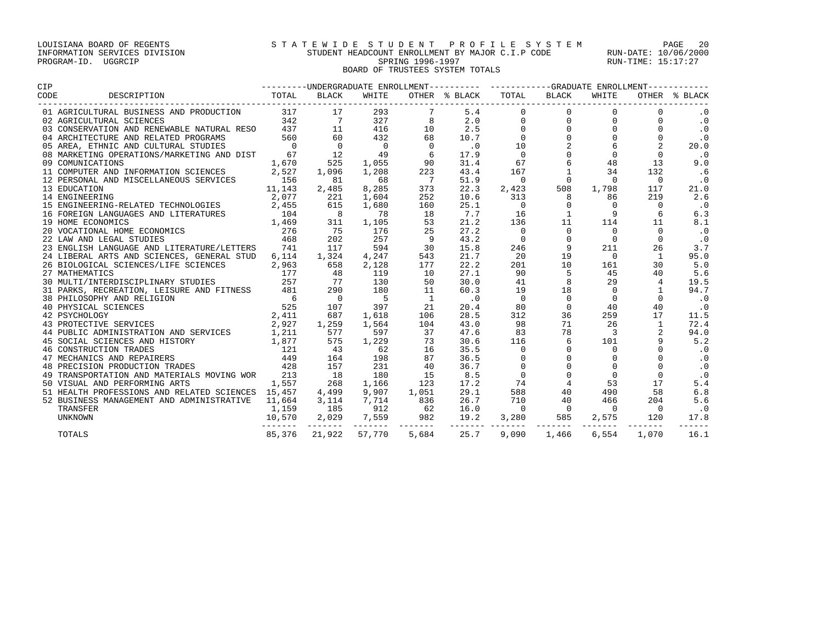### LOUISIANA BOARD OF REGENTS S T A T E W I D E S T U D E N T P R O F I L E S Y S T E M PAGE 20 INFORMATION SERVICES DIVISION STUDENT HEADCOUNT ENROLLMENT BY MAJOR C.I.P CODE RUN-DATE: 10/06/2000 PROGRAM-ID. UGGRCIP SPRING 1996-1997 SPRING 1996-1997 RUN-TIME: 15:17:27 BOARD OF TRUSTEES SYSTEM TOTALS

| CIP  |                                                                                                                                                                                                                                                |       |                                          |                            |                                               |                             |                                       |                        |                                                           |                |               |
|------|------------------------------------------------------------------------------------------------------------------------------------------------------------------------------------------------------------------------------------------------|-------|------------------------------------------|----------------------------|-----------------------------------------------|-----------------------------|---------------------------------------|------------------------|-----------------------------------------------------------|----------------|---------------|
| CODE | --------UNDERGRADUATE ENROLLMENT---------- ----------GRADUATE ENROLLMENT-----------<br>TOTAL       BLACK      WHITE      OTHER    \$  BLACK       TOTAL      BLACK       WHITE      OTHER    \$  BLACK<br>DESCRIPTION                          |       |                                          |                            |                                               |                             |                                       |                        |                                                           |                | OTHER % BLACK |
|      |                                                                                                                                                                                                                                                |       |                                          |                            |                                               |                             | $5.4$<br>2.0<br>2.5<br>$\overline{0}$ | $\overline{0}$         | $\mathbf 0$                                               |                | $\cdot$ 0     |
|      |                                                                                                                                                                                                                                                |       |                                          |                            |                                               | 2.0                         | $\mathbf 0$                           |                        | $\mathbf 0$                                               |                | $\cdot$ 0     |
|      |                                                                                                                                                                                                                                                |       |                                          |                            |                                               | 2.5                         | $\mathbf 0$                           |                        | $\begin{array}{c} 0 \\ 0 \\ 0 \end{array}$<br>$\mathbf 0$ | $\Omega$       | $\cdot$ 0     |
|      |                                                                                                                                                                                                                                                |       |                                          |                            |                                               | 10.7                        | $\Omega$                              |                        | $\Omega$                                                  | $\Omega$       | $\cdot$ 0     |
|      |                                                                                                                                                                                                                                                |       |                                          |                            |                                               | $\overline{\phantom{0}}$ .0 | 10                                    | $\frac{2}{0}$          | 6                                                         | 2              | 20.0          |
|      |                                                                                                                                                                                                                                                |       |                                          |                            |                                               | 17.9                        | $\mathbf{0}$                          | $\mathsf{O}$           | $\Omega$                                                  | $\mathbf 0$    | $\cdot$ 0     |
|      |                                                                                                                                                                                                                                                |       |                                          |                            |                                               | 31.4                        | 67                                    | 6                      | 48                                                        | 13             | 9.0           |
|      | 11 COMPUTER AND INFORMATION SCIENCES 2,527                                                                                                                                                                                                     |       | 1,096                                    | 1,208                      | 223                                           | 43.4                        | 167                                   |                        | 34                                                        | 132            | .6            |
|      | 12 PERSONAL AND MISCELLANEOUS SERVICES<br>13 EDUCATION 11,143<br>14 ENGINEERING 2,077<br>15 ENGINEERING -RELATED TECHNOLOGIES<br>15 ENGINEERING -RELATED TECHNOLOGIES<br>2,455                                                                 |       | 81                                       | 68                         | $\overline{7}$                                | 51.9                        | $\bigcirc$                            | $\Omega$               | $\Omega$                                                  | $\Omega$       | $\cdot$ 0     |
|      |                                                                                                                                                                                                                                                |       | 2,485                                    | 8,285                      | 373                                           | 22.3                        | 2,423                                 | 508                    | 1,798                                                     | 117            | 21.0          |
|      |                                                                                                                                                                                                                                                |       | 221                                      | 1,604                      | 252                                           | 10.6                        | 313                                   | 8                      | 86                                                        | 219            | 2.6           |
|      |                                                                                                                                                                                                                                                |       | 615                                      | 1,680                      | 160                                           | 25.1                        | $\overline{\phantom{0}}$              | $\circ$                | $\Omega$                                                  | $\Omega$       | $\cdot$ 0     |
|      | 15 ENGINEERING-RELATED IECHNOLOGIES<br>16 FOREIGN LANGUAGES AND LITERATURES<br>19 HOME ECONOMICS 1,469<br>20 VOCATIONAL HOME ECONOMICS 276<br>22 LAW AND LEGAL STUDIES 468                                                                     |       |                                          | 78                         | 18                                            | 7.7                         | 16                                    | $1 \quad \blacksquare$ | 9                                                         | 6              | 6.3           |
|      |                                                                                                                                                                                                                                                |       | $\mathcal{L}^{\text{max}}$<br>311        | 1,105                      | 53                                            | 21.2                        | 136                                   | 11                     | 114                                                       | 11             | 8.1           |
|      |                                                                                                                                                                                                                                                |       | $\begin{array}{c} 75 \\ 202 \end{array}$ | 176                        | 25                                            | 27.2                        | $\overline{0}$                        | $\mathbf{0}$           | $\mathbf 0$                                               | $\Omega$       | $\cdot$ 0     |
|      |                                                                                                                                                                                                                                                |       | 202                                      | 257                        | $\overline{9}$                                | 43.2                        | $\mathbf 0$                           | $\Omega$               | $\Omega$                                                  | $\Omega$       | $\cdot$ 0     |
|      | 23 ENGLISH LANGUAGE AND LITERATURE/LETTERS 741                                                                                                                                                                                                 |       | 117                                      | 594                        | 30                                            | 15.8                        | 246                                   | 9                      | 211                                                       | 26             | 3.7           |
|      | 24 LIBERAL ARTS AND SCIENCES, GENERAL STUD                                                                                                                                                                                                     | 6,114 | 1,324                                    | 4,247                      | 543                                           | 21.7                        | 20                                    | 19                     | $\bigcap$                                                 | 1              | 95.0          |
|      | 26 BIOLOGICAL SCIENCES/LIFE SCIENCES                                                                                                                                                                                                           | 2,963 | 658                                      | 2,128                      | 177                                           | 22.2                        | 201                                   | 10                     | 161                                                       | 30             | 5.0           |
|      | 27 MATHEMATICS<br>27 MATHEMATICS 177<br>30 MULTI/INTERDISCIPLINARY STUDIES 257                                                                                                                                                                 | 177   | $\frac{48}{77}$                          | 119                        | 10                                            | 27.1                        | 90                                    | 5                      | 45                                                        | 40             | 5.6           |
|      |                                                                                                                                                                                                                                                |       |                                          | 130                        | 50                                            | 30.0                        | 41                                    | 8                      | 29                                                        | $\overline{4}$ | 19.5          |
|      | 31 PARKS, RECREATION, LEISURE AND FITNESS 481 290                                                                                                                                                                                              |       |                                          | 180                        | $\begin{array}{c} 11 \\ 1 \end{array}$        | 60.3                        | 19                                    | 18                     | $\Omega$                                                  | 1              | 94.7          |
|      |                                                                                                                                                                                                                                                |       |                                          | $5 - 5$                    |                                               | $\cdot$ 0                   | $\overline{0}$                        | $\overline{0}$         | $\Omega$                                                  | $\Omega$       | $\cdot$ 0     |
|      | 38 PHILOSOPHY AND RELIGION<br>40 PHYSICAL SCIENCES<br>42 PSYCHOLOGY<br>43 PROTECTIVE SERVICES<br>43 PROTECTIVE SERVICES<br>44 PUBLIC ADMINISTRATION AND SERVICES<br>45 SOCIAL SCIENCES AND HISTORY<br>45 SOCIAL SCIENCES AND HISTORY<br>45 SOC |       |                                          | 397                        | 21                                            | 20.4                        | 80                                    | $\mathbf 0$            | 40                                                        | 40             | $\cdot$ 0     |
|      |                                                                                                                                                                                                                                                |       |                                          | 1,618                      | 106                                           | 28.5                        | 312                                   | 36                     | 259                                                       | 17             | 11.5          |
|      |                                                                                                                                                                                                                                                |       |                                          | 1,564                      | 104                                           | 43.0                        | 98                                    | 71                     | 26                                                        | 1              | 72.4          |
|      |                                                                                                                                                                                                                                                |       |                                          | 597                        | 37                                            | 47.6                        | 83                                    | 78                     | $\overline{\mathbf{3}}$                                   | 2              | 94.0          |
|      |                                                                                                                                                                                                                                                |       | 575<br>575<br>43                         | 1,229                      | 73                                            | 30.6                        | 116                                   | 6                      | 101                                                       | 9              | 5.2           |
|      | 45 SOCIAL SCIENCES AND HISTORY 1,877<br>46 CONSTRUCTION TRADES 121<br>47 MECHANICS AND REPAIRERS 449<br>48 PRECISION PRODUCTION TRADES 428                                                                                                     |       |                                          | 62                         | $\begin{array}{c} 73 \\ 16 \\ 87 \end{array}$ | 35.5                        | $\overline{\phantom{0}}$              | 0                      | $\mathbf 0$                                               | $\Omega$       | $\cdot$ 0     |
|      |                                                                                                                                                                                                                                                |       | 164                                      | 198                        |                                               | 36.5                        | $\mathbf 0$                           | $\Omega$               | $\Omega$                                                  | $\Omega$       | $\cdot$ 0     |
|      |                                                                                                                                                                                                                                                |       | 157                                      | 231                        | 40                                            | 36.7                        | $\mathbf 0$                           | $\Omega$               | $\Omega$                                                  | $\Omega$       | $\cdot$ 0     |
|      | 49 TRANSPORTATION AND MATERIALS MOVING WOR 213                                                                                                                                                                                                 |       | 18                                       | 180                        | 15                                            | 8.5                         | $\overline{0}$                        | $\Omega$               | $\Omega$                                                  | $\Omega$       | $\cdot$ 0     |
|      | 50 VISUAL AND PERFORMING ARTS                                                                                                                                                                                                                  | 1,557 | 268                                      | 1,166                      | 123                                           | 17.2                        | 74                                    | $\overline{4}$         | 53                                                        | 17             | 5.4           |
|      | 51 HEALTH PROFESSIONS AND RELATED SCIENCES 15,457                                                                                                                                                                                              |       | 4,499                                    | 9,907                      | 1,051                                         | 29.1                        | 588                                   | 40                     | 490                                                       | 58             | 6.8           |
|      | 52 BUSINESS MANAGEMENT AND ADMINISTRATIVE 11,664                                                                                                                                                                                               |       | 3,114                                    | 7,714                      | 836                                           | 26.7                        | 710                                   | 40                     | 466                                                       | 204            | 5.6           |
|      | TRANSFER                                                                                                                                                                                                                                       | 1,159 | 185 912                                  |                            | 62                                            | 16.0                        | $\overline{0}$                        | $\overline{0}$         | $\overline{0}$                                            | $\overline{0}$ | $\cdot$ 0     |
|      | UNKNOWN                                                                                                                                                                                                                                        |       |                                          |                            |                                               |                             |                                       |                        |                                                           |                | 17.8          |
|      | TOTALS                                                                                                                                                                                                                                         |       |                                          | 85,376 21,922 57,770 5,684 |                                               | 25.7                        | 9,090                                 | 1,466                  | 6,554                                                     | 1,070          | 16.1          |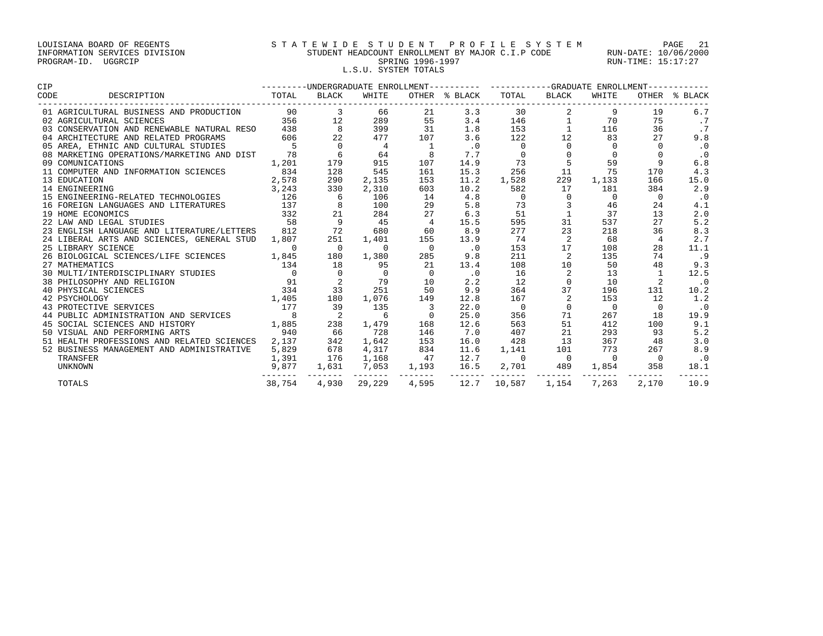# LOUISIANA BOARD OF REGENTS S T A T E W I D E S T U D E N T P R O F I L E S Y S T E M PAGE 21 INFORMATION SERVICES DIVISION STUDENT HEADCOUNT ENROLLMENT BY MAJOR C.I.P CODE RUN-DATE: 10/06/2000 PROGRAM-ID. UGGRCIP SPRING 1996-1997 SPRING 1996-1997 RUN-TIME: 15:17:27 L.S.U. SYSTEM TOTALS

| <b>CIP</b>                                     |                |                            |                     |                | --------UNDERGRADUATE ENROLLMENT---------- ---------GRADUATE ENROLLMENT---------- |                          |                |                |                |               |
|------------------------------------------------|----------------|----------------------------|---------------------|----------------|-----------------------------------------------------------------------------------|--------------------------|----------------|----------------|----------------|---------------|
| CODE<br>DESCRIPTION                            | TOTAL          | BLACK                      | WHITE               |                | OTHER % BLACK                                                                     | TOTAL                    | BLACK          | WHITE          |                | OTHER % BLACK |
| 01 AGRICULTURAL BUSINESS AND PRODUCTION        | 90             | $\overline{3}$             | 66                  | 21             | 3.3                                                                               | 30                       |                | 9              | 19             | 6.7           |
| 02 AGRICULTURAL SCIENCES                       | 356            | 12                         | 289                 | 55             | 3.4                                                                               | 146                      | 1              | 70             | 75             | $\cdot$ 7     |
| 03 CONSERVATION AND RENEWABLE NATURAL RESO     | 438            | 8                          | 399                 | 31             | 1.8                                                                               | 153                      | $\mathbf{1}$   | 116            | 36             |               |
| 04 ARCHITECTURE AND RELATED PROGRAMS           | 606            | 22                         | 477                 | 107            | 3.6                                                                               | 122                      | 12             | 83             | 27             | 9.8           |
| 05 AREA, ETHNIC AND CULTURAL STUDIES           | 5              | $\overline{0}$             | 4                   | 1              | $\cdot$ 0                                                                         | $\overline{0}$           |                | $\Omega$       |                | $\cdot$ 0     |
| 08 MARKETING OPERATIONS/MARKETING AND DIST     | 78             | 6                          | 64                  | 8              | 7.7                                                                               | $\mathbf 0$              |                | $\Omega$       |                | $\cdot$ 0     |
| 09 COMUNICATIONS                               | 1,201          | 179                        | 915                 | 107            | 14.9                                                                              | 73                       | $\mathsf S$    | 59             | 9              | 6.8           |
| 11 COMPUTER AND INFORMATION SCIENCES           | 834            | 128                        | 545                 | 161            | 15.3                                                                              | 256                      | 11             | 75             | 170            | 4.3           |
| 13 EDUCATION                                   | 2,578          | 290                        | 2,135               | 153            | 11.2                                                                              | 1,528                    | 229            | 1,133          | 166            | 15.0          |
| 14 ENGINEERING                                 | 3,243          | 330                        | 2,310               | 603            | 10.2                                                                              | 582                      | 17             | 181            | 384            | 2.9           |
| 15 ENGINEERING-RELATED TECHNOLOGIES            | 126            | 6                          | 106                 | 14             | 4.8                                                                               | $\overline{0}$           | $\Omega$       | $\mathbf 0$    | $\Omega$       | $\cdot$ 0     |
| 16 FOREIGN LANGUAGES AND LITERATURES           | 137            | 8                          | 100                 | 29             | 5.8                                                                               | 73                       | 3              | 46             | 24             | 4.1           |
| 19 HOME ECONOMICS                              | 332            | 21                         | 284                 | 27             | 6.3                                                                               | 51                       | $\mathbf{1}$   | 37             | 13             | 2.0           |
| 22 LAW AND LEGAL STUDIES                       | 58             | 9                          | 45                  | $\overline{4}$ | 15.5                                                                              | 595                      | 31             | 537            | 27             | 5.2           |
| 23 ENGLISH LANGUAGE AND LITERATURE/LETTERS 812 |                | 72                         | 680                 | 60             | 8.9                                                                               | 277                      | 23             | 218            | 36             | 8.3           |
| 24 LIBERAL ARTS AND SCIENCES, GENERAL STUD     | 1,807          | 251                        | 1,401               | 155            | 13.9                                                                              | 74                       | 2              | 68             | 4              | 2.7           |
| 25 LIBRARY SCIENCE                             | $\Omega$       | $\overline{0}$             | $\Omega$            | $\overline{0}$ | $\cdot$ 0                                                                         | 153                      | 17             | 108            | 28             | 11.1          |
| 26 BIOLOGICAL SCIENCES/LIFE SCIENCES           | 1,845          | 180                        | 1,380               | 285            | 9.8                                                                               | 211                      | 2              | 135            | 74             | .9            |
| 27 MATHEMATICS                                 | 134            | 18                         | 95                  | 21             | 13.4                                                                              | 108                      | 10             | 50             | 48             | 9.3           |
| 30 MULTI/INTERDISCIPLINARY STUDIES             | $\overline{0}$ | $\overline{0}$             | $\overline{0}$      | $\overline{0}$ | $\cdot$ 0                                                                         | 16                       | 2              | 13             | 1              | 12.5          |
| 38 PHILOSOPHY AND RELIGION                     | 91             | 2                          | 79                  | 10             | 2.2                                                                               | 12                       | $\Omega$       | 10             |                | $\cdot$ 0     |
| 40 PHYSICAL SCIENCES                           | 334            | 33                         | 251                 | 50             | 9.9                                                                               | 364                      | 37             | 196            | 131            | 10.2          |
| 42 PSYCHOLOGY                                  | 1,405          | 180                        | 1,076               | 149            | 12.8                                                                              | 167                      | 2              | 153            | 12             | 1.2           |
| 43 PROTECTIVE SERVICES                         | 177            | 39                         | 135                 |                | 22.0                                                                              | $\overline{\phantom{0}}$ | $\mathbf 0$    | $\overline{0}$ | $\Omega$       | $\cdot$ 0     |
| 44 PUBLIC ADMINISTRATION AND SERVICES          | 8              | $\overline{\phantom{0}}^2$ | 6                   | $\mathbf{0}$   | 25.0                                                                              | 356                      | 71             | 267            | 18             | 19.9          |
| 45 SOCIAL SCIENCES AND HISTORY                 | 1,885          | 238                        | 1,479               | 168            | 12.6                                                                              | 563                      | 51             | 412            | 100            | 9.1           |
| 50 VISUAL AND PERFORMING ARTS                  | 940            | 66                         | 728                 | 146            | 7.0                                                                               | 407                      | 21             | 293            | 93             | 5.2           |
| 51 HEALTH PROFESSIONS AND RELATED SCIENCES     | 2,137          | 342                        | 1,642               | 153            | 16.0                                                                              | 428                      | 13             | 367            | 48             | 3.0           |
| 52 BUSINESS MANAGEMENT AND ADMINISTRATIVE      | 5,829          | 678                        | 4,317               | 834            | 11.6                                                                              | 1,141                    | 101            | 773            | 267            | 8.9           |
| TRANSFER                                       | 1,391          | 176                        | 1,168               | 47             | 12.7                                                                              | $\overline{0}$           | $\overline{0}$ | $\overline{0}$ | $\overline{0}$ | $\cdot$ 0     |
| UNKNOWN                                        | 9,877          | 1,631                      | 7,053<br>--------   | 1,193          | 16.5                                                                              | 2,701                    | 489            | 1,854          | 358            | 18.1          |
| <b>TOTALS</b>                                  |                |                            | 38,754 4,930 29,229 | 4,595          |                                                                                   | 12.7 10,587              | 1,154          | 7,263          | 2,170          | 10.9          |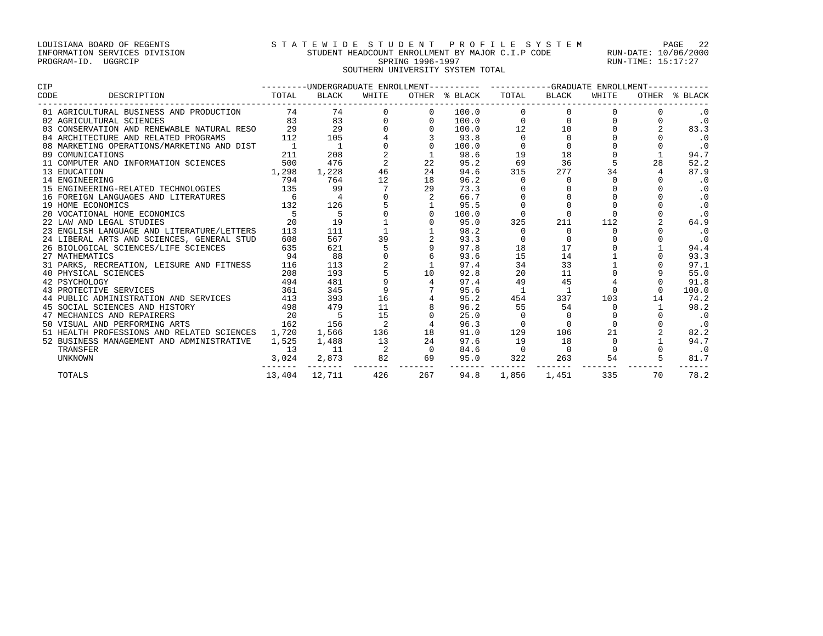### LOUISIANA BOARD OF REGENTS STATEWIDE STUDENT PROFILE SYSTEM PAGE 22 INFORMATION SERVICES DIVISION STUDENT HEADCOUNT ENROLLMENT BY MAJOR C.I.P CODE RUN-DATE: 10/06/2000 PROGRAM-ID. UGGRCIP SPRING 1996-1997 SPRING 1996-1997 RUN-TIME: 15:17:27 SOUTHERN UNIVERSITY SYSTEM TOTAL

| CIP  |                                                                                                                      |                |                                                 |                                                 |                                                                    |                           |                | ---------UNDERGRADUATE ENROLLMENT---------- ----------GRADUATE ENROLLMENT----------- |             |                |                             |  |
|------|----------------------------------------------------------------------------------------------------------------------|----------------|-------------------------------------------------|-------------------------------------------------|--------------------------------------------------------------------|---------------------------|----------------|--------------------------------------------------------------------------------------|-------------|----------------|-----------------------------|--|
| CODE | DESCRIPTION                                                                                                          | TOTAL          | BLACK                                           | WHITE                                           |                                                                    | OTHER % BLACK TOTAL BLACK |                |                                                                                      | WHITE       |                | OTHER % BLACK               |  |
|      |                                                                                                                      |                |                                                 |                                                 |                                                                    | 100.0                     |                |                                                                                      |             |                |                             |  |
|      |                                                                                                                      |                |                                                 |                                                 |                                                                    | 100.0                     |                |                                                                                      |             |                | $\cdot$ 0                   |  |
|      |                                                                                                                      |                |                                                 |                                                 |                                                                    | 100.0                     |                | 12 10                                                                                |             |                | 83.3                        |  |
|      |                                                                                                                      |                |                                                 | $\begin{array}{c} 4 \\ 0 \\ 2 \\ 2 \end{array}$ |                                                                    | 93.8                      | $\overline{0}$ | $\Omega$                                                                             |             |                | $\cdot$ 0                   |  |
|      |                                                                                                                      |                |                                                 |                                                 |                                                                    | 100.0                     |                | $\mathbf 0$                                                                          |             |                | $\cdot$ 0                   |  |
|      |                                                                                                                      |                |                                                 |                                                 |                                                                    | 98.6                      | 19             | 18                                                                                   |             |                | 94.7                        |  |
|      | 11 COMPUTER AND INFORMATION SCIENCES 500                                                                             |                | 476                                             |                                                 | 22                                                                 | 95.2                      | 69             | 36                                                                                   |             | 28             | 52.2                        |  |
|      | 13 EDUCATION                                                                                                         | 1,298          | 1,228                                           | 46                                              | 24                                                                 | 94.6                      | 315            | 277                                                                                  | 34          | $\overline{4}$ | 87.9                        |  |
|      | 14 ENGINEERING                                                                                                       | 794            | 764                                             | 12                                              | 18                                                                 | 96.2                      |                | $\mathbf{0}$                                                                         |             |                | $\cdot$ 0                   |  |
|      | 15 ENGINEERING-RELATED TECHNOLOGIES 135                                                                              |                | 99                                              |                                                 | 29                                                                 | 73.3                      |                |                                                                                      |             |                | $\cdot$ 0                   |  |
|      | 16 FOREIGN LANGUAGES AND LITERATURES                                                                                 | $\overline{6}$ | $\overline{4}$                                  |                                                 |                                                                    | 66.7                      |                |                                                                                      |             |                | $\cdot$ 0                   |  |
|      | 19 HOME ECONOMICS                                                                                                    | 132            | 126                                             |                                                 |                                                                    | 95.5                      |                | $\Omega$                                                                             |             |                | $\cdot$ 0                   |  |
|      | 20 VOCATIONAL HOME ECONOMICS                                                                                         | 5 <sub>5</sub> | $5^{\circ}$                                     |                                                 |                                                                    | 100.0                     |                |                                                                                      |             |                | $\cdot$ 0                   |  |
|      | 22 LAW AND LEGAL STUDIES                                                                                             | 20             | 19                                              |                                                 |                                                                    | 95.0                      | 325            | 211                                                                                  | 112         |                | 64.9                        |  |
|      | 23 ENGLISH LANGUAGE AND LITERATURE/LETTERS                                                                           | 113            | 111                                             |                                                 |                                                                    | 98.2                      | $\Omega$       | $\Omega$                                                                             | $\Omega$    | $\Omega$       | $\cdot$ 0                   |  |
|      | 24 LIBERAL ARTS AND SCIENCES, GENERAL STUD                                                                           | 608            | 567 8                                           |                                                 | $\begin{array}{c} 39 \\ 5 \end{array}$                             | 93.3                      |                | $\Omega$                                                                             |             | $\Omega$       |                             |  |
|      | 26 BIOLOGICAL SCIENCES/LIFE SCIENCES                                                                                 | 635            | 621 7                                           |                                                 |                                                                    | 97.8                      | 18             | 17                                                                                   |             |                | 94.4                        |  |
|      | 27 MATHEMATICS                                                                                                       | 94             | $\begin{array}{c} 88 \\ 113 \\ 193 \end{array}$ |                                                 |                                                                    | 93.6                      | 15             | 14                                                                                   |             |                | 93.3                        |  |
|      | 31 PARKS, RECREATION, LEISURE AND FITNESS 116                                                                        |                |                                                 |                                                 | $\begin{array}{ccc} 2 & 1 \\ 5 & 10 \\ 9 & 4 \\ 9 & 7 \end{array}$ | 97.4                      | 34             | 33                                                                                   |             |                | 97.1                        |  |
|      |                                                                                                                      | 208            |                                                 |                                                 |                                                                    | 92.8                      | 20             | 11                                                                                   |             | 9              | 55.0                        |  |
|      | 40 PHYSICAL SCIENCES<br>42 PSYCHOLOGY 494<br>43 PROTECTIVE SERVICES 361<br>44 PUBLIC ADMINISTRATION AND SERVICES 413 |                | 481                                             |                                                 |                                                                    | 97.4                      | 49             | 45                                                                                   |             | $\Omega$       | 91.8                        |  |
|      |                                                                                                                      |                | 345                                             |                                                 | $\frac{9}{16}$                                                     | 95.6                      |                | 1                                                                                    |             | $\Omega$       | 100.0                       |  |
|      |                                                                                                                      |                | 393                                             |                                                 |                                                                    | 95.2                      | 454            | 337                                                                                  | 103         | 14             | 74.2                        |  |
|      | 45 SOCIAL SCIENCES AND HISTORY 498                                                                                   |                | 479                                             |                                                 | 11                                                                 | 96.2                      | 55             | 54                                                                                   | $\Omega$    |                | 98.2                        |  |
|      | $\sim$ 20<br>47 MECHANICS AND REPAIRERS                                                                              |                | 5 <sub>5</sub>                                  | 15                                              |                                                                    | 25.0                      |                |                                                                                      |             |                | $\overline{\phantom{0}}$ .0 |  |
|      | 162<br>50 VISUAL AND PERFORMING ARTS                                                                                 |                | 156                                             | 2                                               |                                                                    | 96.3                      | $\Omega$       | $\Omega$                                                                             |             |                | $\cdot$ 0                   |  |
|      | 51 HEALTH PROFESSIONS AND RELATED SCIENCES 1,720                                                                     |                | 1,566                                           | 136                                             | 18                                                                 | 91.0                      | 129            | 106                                                                                  | 21          |                | 82.2                        |  |
|      | 52 BUSINESS MANAGEMENT AND ADMINISTRATIVE 1,525                                                                      |                | 1,488                                           | $\overline{13}$                                 | 24                                                                 | 97.6                      | 19             | 18                                                                                   | $\mathbf 0$ |                | 94.7                        |  |
|      | TRANSFER                                                                                                             | 13             | 11                                              | $\overline{\mathbf{c}}$                         | $\overline{0}$                                                     | 84.6                      | $\overline{0}$ | $\Omega$                                                                             | $\Omega$    | $\Omega$       | $\cdot$ 0                   |  |
|      | UNKNOWN                                                                                                              | 3,024          | 2,873 82                                        |                                                 | 69<br>-------                                                      |                           | 95.0 322       | 263                                                                                  | 54          |                | 81.7                        |  |
|      | TOTALS                                                                                                               |                | 13,404 12,711                                   | 426                                             | 267                                                                | 94.8                      | 1,856          | 1,451                                                                                | 335         | 70             | 78.2                        |  |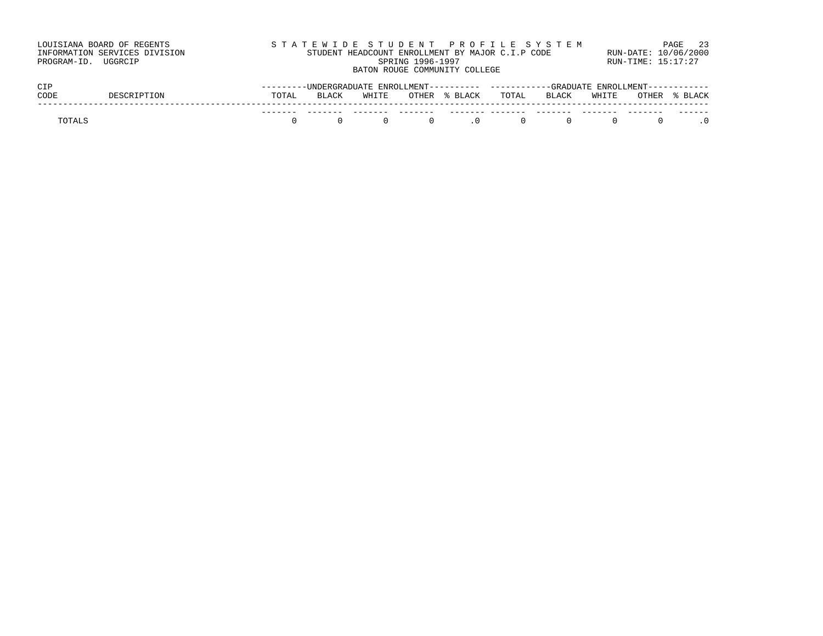| LOUISIANA BOARD OF REGENTS    | STATEWIDE STUDENT PROFILE SYSTEM                                                     | PAGE 23              |
|-------------------------------|--------------------------------------------------------------------------------------|----------------------|
| INFORMATION SERVICES DIVISION | STUDENT HEADCOUNT ENROLLMENT BY MAJOR C.I.P CODE                                     | RUN-DATE: 10/06/2000 |
| PROGRAM-ID. UGGRCIP           | SPRING 1996-1997                                                                     | RUN-TIME: 15:17:27   |
|                               | BATON ROUGE COMMUNITY COLLEGE                                                        |                      |
| CIP                           | ---------UNDERGRADUATE ENROLLMENT---------- ----------GRADUATE ENROLLMENT----------- |                      |

| ----   |  |          |              |       |                |                |        |       |            |       |         |
|--------|--|----------|--------------|-------|----------------|----------------|--------|-------|------------|-------|---------|
| CODE   |  | TOTAL    | <b>BLACK</b> | WHITE |                | OTHER % BLACK  | TOTAL  | BLACK | WHITE      | OTHER | % BLACK |
|        |  | -------- |              | ----- | -------        |                |        |       |            |       | ------- |
| TOTALS |  |          |              |       | $\overline{0}$ | $\overline{0}$ | $\cap$ | n.    | $^{\circ}$ |       |         |